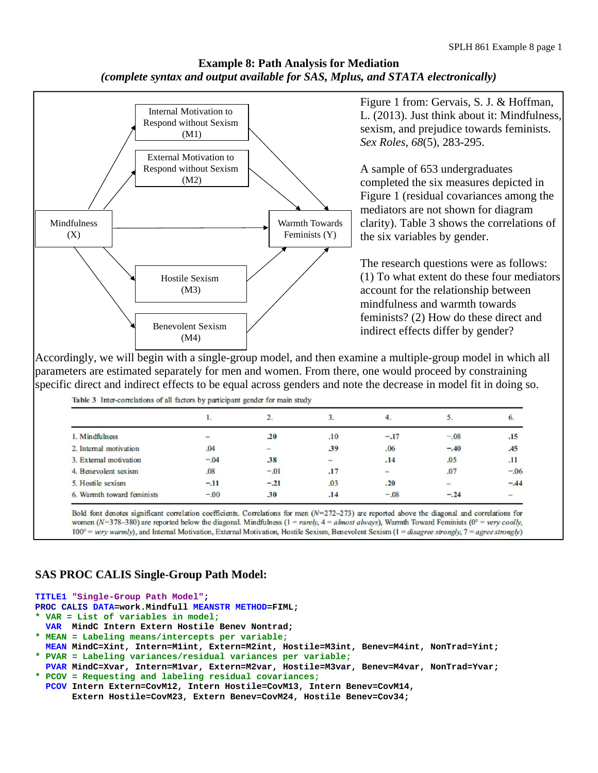# **Example 8: Path Analysis for Mediation**  *(complete syntax and output available for SAS, Mplus, and STATA electronically)*



## Figure 1 from: Gervais, S. J. & Hoffman, L. (2013). Just think about it: Mindfulness, sexism, and prejudice towards feminists. *Sex Roles, 68*(5), 283-295.

A sample of 653 undergraduates completed the six measures depicted in Figure 1 (residual covariances among the mediators are not shown for diagram clarity). Table 3 shows the correlations of the six variables by gender.

The research questions were as follows: (1) To what extent do these four mediators account for the relationship between mindfulness and warmth towards feminists? (2) How do these direct and indirect effects differ by gender?

Accordingly, we will begin with a single-group model, and then examine a multiple-group model in which all parameters are estimated separately for men and women. From there, one would proceed by constraining specific direct and indirect effects to be equal across genders and note the decrease in model fit in doing so. Table 3 Inter-correlations of all factors by participant gender for main study

|                            |        |                          |               | 4.                       |        | O.                       |
|----------------------------|--------|--------------------------|---------------|--------------------------|--------|--------------------------|
| 1. Mindfulness             | $\sim$ | .20                      | .10           | $-.17$                   | $-.08$ | .15                      |
| 2. Internal motivation     | .04    | $\overline{\phantom{a}}$ | 39            | .06                      | $-.40$ | .45                      |
| 3. External motivation     | $-.04$ | .38                      | $\frac{1}{2}$ | .14                      | .05    | .11                      |
| 4. Benevolent sexism       | .08    | $-.01$                   | .17           | $\overline{\phantom{0}}$ | .07    | $-.06$                   |
| 5. Hostile sexism          | $-.11$ | $-.21$                   | .03           | .20                      |        | $-.44$                   |
| 6. Warmth toward feminists | $-.00$ | 30                       | .14           | $-.08$                   | $-.24$ | $\overline{\phantom{a}}$ |

Bold font denotes significant correlation coefficients. Correlations for men  $(N=272-273)$  are reported above the diagonal and correlations for women ( $N=378-380$ ) are reported below the diagonal. Mindfulness ( $1 =$ rarely,  $4 =$ almost always), Warmth Toward Feminists ( $0^\circ$  = very coolly, 100° = very warmly), and Internal Motivation, External Motivation, Hostile Sexism, Benevolent Sexism (1 = disagree strongly, 7 = agree strongly)

# **SAS PROC CALIS Single-Group Path Model:**

**TITLE1 "Single-Group Path Model";** 

**PROC CALIS DATA=work.Mindfull MEANSTR METHOD=FIML;** 

- **\* VAR = List of variables in model;**
- **VAR MindC Intern Extern Hostile Benev Nontrad;**
- **\* MEAN = Labeling means/intercepts per variable;**
- **MEAN MindC=Xint, Intern=M1int, Extern=M2int, Hostile=M3int, Benev=M4int, NonTrad=Yint; \* PVAR = Labeling variances/residual variances per variable;**
- **PVAR MindC=Xvar, Intern=M1var, Extern=M2var, Hostile=M3var, Benev=M4var, NonTrad=Yvar; \* PCOV = Requesting and labeling residual covariances;**
- **PCOV Intern Extern=CovM12, Intern Hostile=CovM13, Intern Benev=CovM14, Extern Hostile=CovM23, Extern Benev=CovM24, Hostile Benev=Cov34;**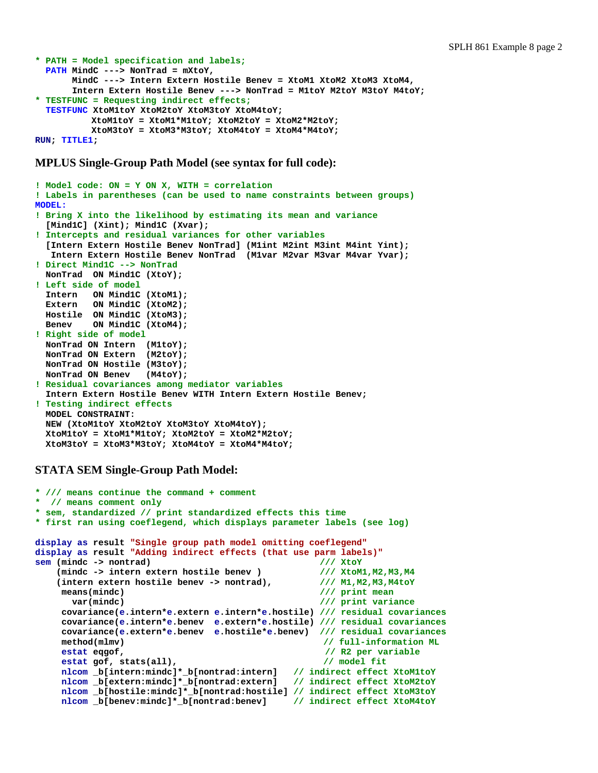```
* PATH = Model specification and labels;
   PATH MindC ---> NonTrad = mXtoY, 
        MindC ---> Intern Extern Hostile Benev = XtoM1 XtoM2 XtoM3 XtoM4, 
        Intern Extern Hostile Benev ---> NonTrad = M1toY M2toY M3toY M4toY; 
* TESTFUNC = Requesting indirect effects;
   TESTFUNC XtoM1toY XtoM2toY XtoM3toY XtoM4toY; 
            XtoM1toY = XtoM1*M1toY; XtoM2toY = XtoM2*M2toY; 
            XtoM3toY = XtoM3*M3toY; XtoM4toY = XtoM4*M4toY; 
RUN; TITLE1;
```
**MPLUS Single-Group Path Model (see syntax for full code):** 

```
! Model code: ON = Y ON X, WITH = correlation 
! Labels in parentheses (can be used to name constraints between groups) 
MODEL: 
! Bring X into the likelihood by estimating its mean and variance 
   [Mind1C] (Xint); Mind1C (Xvar); 
! Intercepts and residual variances for other variables 
   [Intern Extern Hostile Benev NonTrad] (M1int M2int M3int M4int Yint); 
    Intern Extern Hostile Benev NonTrad (M1var M2var M3var M4var Yvar); 
! Direct Mind1C --> NonTrad 
  NonTrad ON Mind1C (XtoY); 
! Left side of model 
   Intern ON Mind1C (XtoM1); 
   Extern ON Mind1C (XtoM2); 
  Hostile ON Mind1C (XtoM3); 
   Benev ON Mind1C (XtoM4); 
! Right side of model 
   NonTrad ON Intern (M1toY); 
  NonTrad ON Extern (M2toY); 
  NonTrad ON Hostile (M3toY); 
  NonTrad ON Benev (M4toY); 
! Residual covariances among mediator variables 
   Intern Extern Hostile Benev WITH Intern Extern Hostile Benev; 
! Testing indirect effects 
  MODEL CONSTRAINT: 
  NEW (XtoM1toY XtoM2toY XtoM3toY XtoM4toY); 
  XtoM1toY = XtoM1*M1toY; XtoM2toY = XtoM2*M2toY; 
  XtoM3toY = XtoM3*M3toY; XtoM4toY = XtoM4*M4toY;
```
### **STATA SEM Single-Group Path Model:**

```
* /// means continue the command + comment 
* // means comment only 
* sem, standardized // print standardized effects this time 
* first ran using coeflegend, which displays parameter labels (see log) 
display as result "Single group path model omitting coeflegend"
display as result "Adding indirect effects (that use parm labels)"<br>sem (mindc -> nontrad) \frac{1}{2} // XtoY
sem (mindc -> nontrad) /// XtoY<br>(mindc -> intern extern hostile benev ) /// XtoM1, M2, M3, M4
    (mindc -> intern extern hostile benev )
    (intern extern hostile benev -> nontrad), /// M1,M2,M3,M4toY 
     means(mindc) /// print mean
       var(mindc) /// print variance 
     covariance(e.intern*e.extern e.intern*e.hostile) /// residual covariances
     covariance(e.intern*e.benev e.extern*e.hostile) /// residual covariances
     covariance(e.extern*e.benev e.hostile*e.benev) /// residual covariances
     method(mlmv) // full-information ML
     estat eqgof, // R2 per variable 
     estat gof, stats(all), // model fit
     nlcom _b[intern:mindc]*_b[nontrad:intern] // indirect effect XtoM1toY
     nlcom _b[extern:mindc]*_b[nontrad:extern] // indirect effect XtoM2toY
     nlcom _b[hostile:mindc]*_b[nontrad:hostile] // indirect effect XtoM3toY
     nlcom _b[benev:mindc]*_b[nontrad:benev] // indirect effect XtoM4toY
```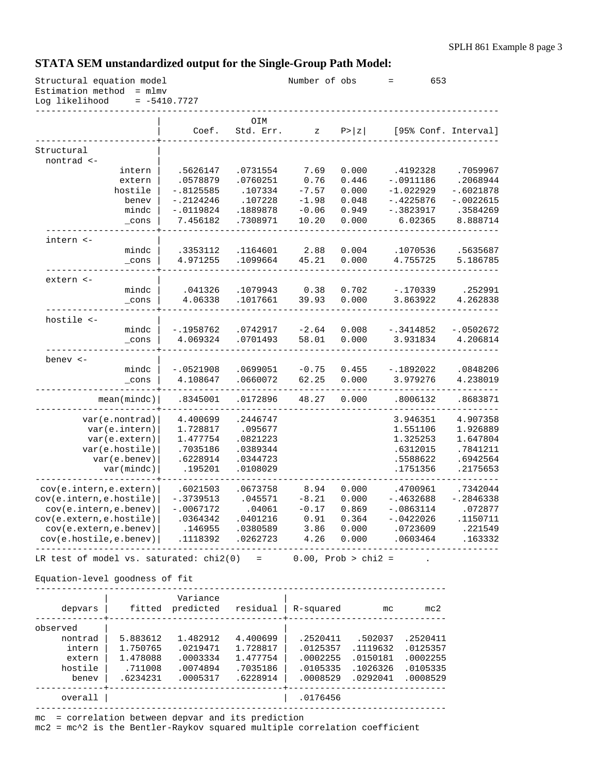# **STATA SEM unstandardized output for the Single-Group Path Model:**

| Estimation method<br>$=$ mlm $v$<br>Log likelihood<br>$= -5410.7727$<br>OIM<br>Coef.<br>Std. Err.<br>P >  z <br>[95% Conf. Interval]<br>Ζ<br>Structural<br>nontrad <-<br>0.000<br>intern<br>.5626147<br>.0731554<br>7.69<br>.4192328<br>.0578879<br>.0760251<br>0.76<br>0.446<br>$-.0911186$<br>extern<br>hostile<br>$-.8125585$<br>.107334<br>$-7.57$<br>0.000<br>$-1.022929$<br>$-.4225876$<br>$-.2124246$<br>.107228<br>$-1.98$<br>0.048<br>$-.0022615$<br>benev<br>mindc<br>$-.0119824$<br>.1889878<br>$-0.06$<br>0.949<br>$-.3823917$<br>.3584269<br>7.456182<br>.7308971<br>10.20<br>0.000<br>6.02365<br>8.888714<br>$\_cons$<br>intern <-<br>.1164601<br>2.88<br>0.004<br>.1070536<br>mindc<br>.3353112<br>4.971255<br>.1099664<br>45.21<br>0.000<br>4.755725<br>$\_cons$<br>extern <-<br>mindc<br>.1079943<br>0.38<br>0.702<br>$-.170339$<br>.041326<br>4.06338<br>.1017661<br>39.93<br>0.000<br>3.863922<br>_cons<br>hostile <-<br>mindc<br>$-2.64$<br>0.008<br>$-.3414852$<br>-.1958762<br>.0742917<br>$-.0502672$<br>4.069324<br>.0701493<br>58.01<br>0.000<br>3.931834<br>4.206814<br>$\_cons$<br>benev $<-$<br>$\verb mindc $<br>$-.0521908$<br>.0699051<br>$-0.75$<br>0.455<br>$-.1892022$<br>.0660072<br>4.108647<br>62.25<br>0.000<br>3.979276<br>_cons<br>0.000<br>mean(mindc)<br>.8345001<br>.0172896<br>48.27<br>.8006132<br>4.400699<br>.2446747<br>3.946351<br>4.907358<br>var(e.nontrad)<br>var(e.intern)<br>.095677<br>1.551106<br>1.926889<br>1.728817<br>var(e.extern)<br>1.477754<br>.0821223<br>1.325253<br>var(e.hostile)<br>.0389344<br>.7035186<br>.6312015<br>var(e.benev)<br>.6228914<br>.0344723<br>.5588622<br>var(mindc)<br>.195201<br>.0108029<br>.1751356<br>cov(e.intern, e.extern)<br>.6021503<br>.0673758<br>8.94<br>0.000<br>.4700961<br>.7342044<br>$-.3739513$<br>.045571<br>$-8.21$<br>0.000<br>$-.4632688$<br>cov(e.intern,e,benev)<br>$-.0067172$<br>.04061<br>$-0.17$<br>0.869<br>$-.0863114$<br>0.91<br>$-.0422026$<br>.0364342<br>.0401216<br>0.364<br>cov(e.extern, e.benev)<br>3.86<br>0.000<br>.0723609<br>.146955<br>.0380589<br>cov(e.hostile,e.benev)<br>4.26<br>0.000<br>.1118392<br>.0262723<br>.0603464<br>Variance<br>fitted predicted<br>R-squared<br>depvars<br>residual<br>mc2<br>mc<br>-------------------<br>observed<br>5.883612<br>1.482912<br>.2520411<br>.502037<br>nontrad<br>4.400699<br>.2520411<br>intern<br>1.750765<br>.0219471<br>1.728817<br>.0125357<br>.1119632<br>.0125357<br>1.478088<br>.0003334<br>1.477754<br>.0002255<br>.0150181<br>.0002255<br>extern<br>hostile<br>.711008<br>.0074894<br>.7035186<br>.1026326<br>.0105335<br>.0105335<br>.6234231<br>.6228914<br>.0008529<br>.0292041<br>benev<br>.0005317<br>.0008529<br>overall<br>.0176456<br>= correlation between depvar and its prediction | Structural equation model |  | Number of obs | $=$ | 653 |             |
|------------------------------------------------------------------------------------------------------------------------------------------------------------------------------------------------------------------------------------------------------------------------------------------------------------------------------------------------------------------------------------------------------------------------------------------------------------------------------------------------------------------------------------------------------------------------------------------------------------------------------------------------------------------------------------------------------------------------------------------------------------------------------------------------------------------------------------------------------------------------------------------------------------------------------------------------------------------------------------------------------------------------------------------------------------------------------------------------------------------------------------------------------------------------------------------------------------------------------------------------------------------------------------------------------------------------------------------------------------------------------------------------------------------------------------------------------------------------------------------------------------------------------------------------------------------------------------------------------------------------------------------------------------------------------------------------------------------------------------------------------------------------------------------------------------------------------------------------------------------------------------------------------------------------------------------------------------------------------------------------------------------------------------------------------------------------------------------------------------------------------------------------------------------------------------------------------------------------------------------------------------------------------------------------------------------------------------------------------------------------------------------------------------------------------------------------------------------------------------------------------------------------------------------------------------------------------------------------------------------------------------------------------------------------------------------------------------------------------------------------------------------------------------------|---------------------------|--|---------------|-----|-----|-------------|
|                                                                                                                                                                                                                                                                                                                                                                                                                                                                                                                                                                                                                                                                                                                                                                                                                                                                                                                                                                                                                                                                                                                                                                                                                                                                                                                                                                                                                                                                                                                                                                                                                                                                                                                                                                                                                                                                                                                                                                                                                                                                                                                                                                                                                                                                                                                                                                                                                                                                                                                                                                                                                                                                                                                                                                                          |                           |  |               |     |     |             |
| cov(e.intern, e.hostile)<br>cov(e. extern, e. hostile)<br>LR test of model vs. saturated: $chi2(0) = 0.00$ , Prob > chi2 =<br>Equation-level goodness of fit                                                                                                                                                                                                                                                                                                                                                                                                                                                                                                                                                                                                                                                                                                                                                                                                                                                                                                                                                                                                                                                                                                                                                                                                                                                                                                                                                                                                                                                                                                                                                                                                                                                                                                                                                                                                                                                                                                                                                                                                                                                                                                                                                                                                                                                                                                                                                                                                                                                                                                                                                                                                                             |                           |  |               |     |     |             |
|                                                                                                                                                                                                                                                                                                                                                                                                                                                                                                                                                                                                                                                                                                                                                                                                                                                                                                                                                                                                                                                                                                                                                                                                                                                                                                                                                                                                                                                                                                                                                                                                                                                                                                                                                                                                                                                                                                                                                                                                                                                                                                                                                                                                                                                                                                                                                                                                                                                                                                                                                                                                                                                                                                                                                                                          |                           |  |               |     |     |             |
|                                                                                                                                                                                                                                                                                                                                                                                                                                                                                                                                                                                                                                                                                                                                                                                                                                                                                                                                                                                                                                                                                                                                                                                                                                                                                                                                                                                                                                                                                                                                                                                                                                                                                                                                                                                                                                                                                                                                                                                                                                                                                                                                                                                                                                                                                                                                                                                                                                                                                                                                                                                                                                                                                                                                                                                          |                           |  |               |     |     |             |
|                                                                                                                                                                                                                                                                                                                                                                                                                                                                                                                                                                                                                                                                                                                                                                                                                                                                                                                                                                                                                                                                                                                                                                                                                                                                                                                                                                                                                                                                                                                                                                                                                                                                                                                                                                                                                                                                                                                                                                                                                                                                                                                                                                                                                                                                                                                                                                                                                                                                                                                                                                                                                                                                                                                                                                                          |                           |  |               |     |     |             |
|                                                                                                                                                                                                                                                                                                                                                                                                                                                                                                                                                                                                                                                                                                                                                                                                                                                                                                                                                                                                                                                                                                                                                                                                                                                                                                                                                                                                                                                                                                                                                                                                                                                                                                                                                                                                                                                                                                                                                                                                                                                                                                                                                                                                                                                                                                                                                                                                                                                                                                                                                                                                                                                                                                                                                                                          |                           |  |               |     |     | .7059967    |
|                                                                                                                                                                                                                                                                                                                                                                                                                                                                                                                                                                                                                                                                                                                                                                                                                                                                                                                                                                                                                                                                                                                                                                                                                                                                                                                                                                                                                                                                                                                                                                                                                                                                                                                                                                                                                                                                                                                                                                                                                                                                                                                                                                                                                                                                                                                                                                                                                                                                                                                                                                                                                                                                                                                                                                                          |                           |  |               |     |     | .2068944    |
|                                                                                                                                                                                                                                                                                                                                                                                                                                                                                                                                                                                                                                                                                                                                                                                                                                                                                                                                                                                                                                                                                                                                                                                                                                                                                                                                                                                                                                                                                                                                                                                                                                                                                                                                                                                                                                                                                                                                                                                                                                                                                                                                                                                                                                                                                                                                                                                                                                                                                                                                                                                                                                                                                                                                                                                          |                           |  |               |     |     | $-.6021878$ |
|                                                                                                                                                                                                                                                                                                                                                                                                                                                                                                                                                                                                                                                                                                                                                                                                                                                                                                                                                                                                                                                                                                                                                                                                                                                                                                                                                                                                                                                                                                                                                                                                                                                                                                                                                                                                                                                                                                                                                                                                                                                                                                                                                                                                                                                                                                                                                                                                                                                                                                                                                                                                                                                                                                                                                                                          |                           |  |               |     |     |             |
|                                                                                                                                                                                                                                                                                                                                                                                                                                                                                                                                                                                                                                                                                                                                                                                                                                                                                                                                                                                                                                                                                                                                                                                                                                                                                                                                                                                                                                                                                                                                                                                                                                                                                                                                                                                                                                                                                                                                                                                                                                                                                                                                                                                                                                                                                                                                                                                                                                                                                                                                                                                                                                                                                                                                                                                          |                           |  |               |     |     |             |
|                                                                                                                                                                                                                                                                                                                                                                                                                                                                                                                                                                                                                                                                                                                                                                                                                                                                                                                                                                                                                                                                                                                                                                                                                                                                                                                                                                                                                                                                                                                                                                                                                                                                                                                                                                                                                                                                                                                                                                                                                                                                                                                                                                                                                                                                                                                                                                                                                                                                                                                                                                                                                                                                                                                                                                                          |                           |  |               |     |     |             |
|                                                                                                                                                                                                                                                                                                                                                                                                                                                                                                                                                                                                                                                                                                                                                                                                                                                                                                                                                                                                                                                                                                                                                                                                                                                                                                                                                                                                                                                                                                                                                                                                                                                                                                                                                                                                                                                                                                                                                                                                                                                                                                                                                                                                                                                                                                                                                                                                                                                                                                                                                                                                                                                                                                                                                                                          |                           |  |               |     |     |             |
|                                                                                                                                                                                                                                                                                                                                                                                                                                                                                                                                                                                                                                                                                                                                                                                                                                                                                                                                                                                                                                                                                                                                                                                                                                                                                                                                                                                                                                                                                                                                                                                                                                                                                                                                                                                                                                                                                                                                                                                                                                                                                                                                                                                                                                                                                                                                                                                                                                                                                                                                                                                                                                                                                                                                                                                          |                           |  |               |     |     | .5635687    |
|                                                                                                                                                                                                                                                                                                                                                                                                                                                                                                                                                                                                                                                                                                                                                                                                                                                                                                                                                                                                                                                                                                                                                                                                                                                                                                                                                                                                                                                                                                                                                                                                                                                                                                                                                                                                                                                                                                                                                                                                                                                                                                                                                                                                                                                                                                                                                                                                                                                                                                                                                                                                                                                                                                                                                                                          |                           |  |               |     |     | 5.186785    |
|                                                                                                                                                                                                                                                                                                                                                                                                                                                                                                                                                                                                                                                                                                                                                                                                                                                                                                                                                                                                                                                                                                                                                                                                                                                                                                                                                                                                                                                                                                                                                                                                                                                                                                                                                                                                                                                                                                                                                                                                                                                                                                                                                                                                                                                                                                                                                                                                                                                                                                                                                                                                                                                                                                                                                                                          |                           |  |               |     |     |             |
|                                                                                                                                                                                                                                                                                                                                                                                                                                                                                                                                                                                                                                                                                                                                                                                                                                                                                                                                                                                                                                                                                                                                                                                                                                                                                                                                                                                                                                                                                                                                                                                                                                                                                                                                                                                                                                                                                                                                                                                                                                                                                                                                                                                                                                                                                                                                                                                                                                                                                                                                                                                                                                                                                                                                                                                          |                           |  |               |     |     | .252991     |
|                                                                                                                                                                                                                                                                                                                                                                                                                                                                                                                                                                                                                                                                                                                                                                                                                                                                                                                                                                                                                                                                                                                                                                                                                                                                                                                                                                                                                                                                                                                                                                                                                                                                                                                                                                                                                                                                                                                                                                                                                                                                                                                                                                                                                                                                                                                                                                                                                                                                                                                                                                                                                                                                                                                                                                                          |                           |  |               |     |     | 4.262838    |
|                                                                                                                                                                                                                                                                                                                                                                                                                                                                                                                                                                                                                                                                                                                                                                                                                                                                                                                                                                                                                                                                                                                                                                                                                                                                                                                                                                                                                                                                                                                                                                                                                                                                                                                                                                                                                                                                                                                                                                                                                                                                                                                                                                                                                                                                                                                                                                                                                                                                                                                                                                                                                                                                                                                                                                                          |                           |  |               |     |     |             |
|                                                                                                                                                                                                                                                                                                                                                                                                                                                                                                                                                                                                                                                                                                                                                                                                                                                                                                                                                                                                                                                                                                                                                                                                                                                                                                                                                                                                                                                                                                                                                                                                                                                                                                                                                                                                                                                                                                                                                                                                                                                                                                                                                                                                                                                                                                                                                                                                                                                                                                                                                                                                                                                                                                                                                                                          |                           |  |               |     |     |             |
|                                                                                                                                                                                                                                                                                                                                                                                                                                                                                                                                                                                                                                                                                                                                                                                                                                                                                                                                                                                                                                                                                                                                                                                                                                                                                                                                                                                                                                                                                                                                                                                                                                                                                                                                                                                                                                                                                                                                                                                                                                                                                                                                                                                                                                                                                                                                                                                                                                                                                                                                                                                                                                                                                                                                                                                          |                           |  |               |     |     |             |
|                                                                                                                                                                                                                                                                                                                                                                                                                                                                                                                                                                                                                                                                                                                                                                                                                                                                                                                                                                                                                                                                                                                                                                                                                                                                                                                                                                                                                                                                                                                                                                                                                                                                                                                                                                                                                                                                                                                                                                                                                                                                                                                                                                                                                                                                                                                                                                                                                                                                                                                                                                                                                                                                                                                                                                                          |                           |  |               |     |     |             |
|                                                                                                                                                                                                                                                                                                                                                                                                                                                                                                                                                                                                                                                                                                                                                                                                                                                                                                                                                                                                                                                                                                                                                                                                                                                                                                                                                                                                                                                                                                                                                                                                                                                                                                                                                                                                                                                                                                                                                                                                                                                                                                                                                                                                                                                                                                                                                                                                                                                                                                                                                                                                                                                                                                                                                                                          |                           |  |               |     |     |             |
|                                                                                                                                                                                                                                                                                                                                                                                                                                                                                                                                                                                                                                                                                                                                                                                                                                                                                                                                                                                                                                                                                                                                                                                                                                                                                                                                                                                                                                                                                                                                                                                                                                                                                                                                                                                                                                                                                                                                                                                                                                                                                                                                                                                                                                                                                                                                                                                                                                                                                                                                                                                                                                                                                                                                                                                          |                           |  |               |     |     | .0848206    |
|                                                                                                                                                                                                                                                                                                                                                                                                                                                                                                                                                                                                                                                                                                                                                                                                                                                                                                                                                                                                                                                                                                                                                                                                                                                                                                                                                                                                                                                                                                                                                                                                                                                                                                                                                                                                                                                                                                                                                                                                                                                                                                                                                                                                                                                                                                                                                                                                                                                                                                                                                                                                                                                                                                                                                                                          |                           |  |               |     |     | 4.238019    |
|                                                                                                                                                                                                                                                                                                                                                                                                                                                                                                                                                                                                                                                                                                                                                                                                                                                                                                                                                                                                                                                                                                                                                                                                                                                                                                                                                                                                                                                                                                                                                                                                                                                                                                                                                                                                                                                                                                                                                                                                                                                                                                                                                                                                                                                                                                                                                                                                                                                                                                                                                                                                                                                                                                                                                                                          |                           |  |               |     |     | .8683871    |
|                                                                                                                                                                                                                                                                                                                                                                                                                                                                                                                                                                                                                                                                                                                                                                                                                                                                                                                                                                                                                                                                                                                                                                                                                                                                                                                                                                                                                                                                                                                                                                                                                                                                                                                                                                                                                                                                                                                                                                                                                                                                                                                                                                                                                                                                                                                                                                                                                                                                                                                                                                                                                                                                                                                                                                                          |                           |  |               |     |     |             |
|                                                                                                                                                                                                                                                                                                                                                                                                                                                                                                                                                                                                                                                                                                                                                                                                                                                                                                                                                                                                                                                                                                                                                                                                                                                                                                                                                                                                                                                                                                                                                                                                                                                                                                                                                                                                                                                                                                                                                                                                                                                                                                                                                                                                                                                                                                                                                                                                                                                                                                                                                                                                                                                                                                                                                                                          |                           |  |               |     |     |             |
|                                                                                                                                                                                                                                                                                                                                                                                                                                                                                                                                                                                                                                                                                                                                                                                                                                                                                                                                                                                                                                                                                                                                                                                                                                                                                                                                                                                                                                                                                                                                                                                                                                                                                                                                                                                                                                                                                                                                                                                                                                                                                                                                                                                                                                                                                                                                                                                                                                                                                                                                                                                                                                                                                                                                                                                          |                           |  |               |     |     | 1.647804    |
|                                                                                                                                                                                                                                                                                                                                                                                                                                                                                                                                                                                                                                                                                                                                                                                                                                                                                                                                                                                                                                                                                                                                                                                                                                                                                                                                                                                                                                                                                                                                                                                                                                                                                                                                                                                                                                                                                                                                                                                                                                                                                                                                                                                                                                                                                                                                                                                                                                                                                                                                                                                                                                                                                                                                                                                          |                           |  |               |     |     | .7841211    |
|                                                                                                                                                                                                                                                                                                                                                                                                                                                                                                                                                                                                                                                                                                                                                                                                                                                                                                                                                                                                                                                                                                                                                                                                                                                                                                                                                                                                                                                                                                                                                                                                                                                                                                                                                                                                                                                                                                                                                                                                                                                                                                                                                                                                                                                                                                                                                                                                                                                                                                                                                                                                                                                                                                                                                                                          |                           |  |               |     |     | .6942564    |
|                                                                                                                                                                                                                                                                                                                                                                                                                                                                                                                                                                                                                                                                                                                                                                                                                                                                                                                                                                                                                                                                                                                                                                                                                                                                                                                                                                                                                                                                                                                                                                                                                                                                                                                                                                                                                                                                                                                                                                                                                                                                                                                                                                                                                                                                                                                                                                                                                                                                                                                                                                                                                                                                                                                                                                                          |                           |  |               |     |     | .2175653    |
|                                                                                                                                                                                                                                                                                                                                                                                                                                                                                                                                                                                                                                                                                                                                                                                                                                                                                                                                                                                                                                                                                                                                                                                                                                                                                                                                                                                                                                                                                                                                                                                                                                                                                                                                                                                                                                                                                                                                                                                                                                                                                                                                                                                                                                                                                                                                                                                                                                                                                                                                                                                                                                                                                                                                                                                          |                           |  |               |     |     |             |
|                                                                                                                                                                                                                                                                                                                                                                                                                                                                                                                                                                                                                                                                                                                                                                                                                                                                                                                                                                                                                                                                                                                                                                                                                                                                                                                                                                                                                                                                                                                                                                                                                                                                                                                                                                                                                                                                                                                                                                                                                                                                                                                                                                                                                                                                                                                                                                                                                                                                                                                                                                                                                                                                                                                                                                                          |                           |  |               |     |     | $-.2846338$ |
|                                                                                                                                                                                                                                                                                                                                                                                                                                                                                                                                                                                                                                                                                                                                                                                                                                                                                                                                                                                                                                                                                                                                                                                                                                                                                                                                                                                                                                                                                                                                                                                                                                                                                                                                                                                                                                                                                                                                                                                                                                                                                                                                                                                                                                                                                                                                                                                                                                                                                                                                                                                                                                                                                                                                                                                          |                           |  |               |     |     | .072877     |
|                                                                                                                                                                                                                                                                                                                                                                                                                                                                                                                                                                                                                                                                                                                                                                                                                                                                                                                                                                                                                                                                                                                                                                                                                                                                                                                                                                                                                                                                                                                                                                                                                                                                                                                                                                                                                                                                                                                                                                                                                                                                                                                                                                                                                                                                                                                                                                                                                                                                                                                                                                                                                                                                                                                                                                                          |                           |  |               |     |     | .1150711    |
|                                                                                                                                                                                                                                                                                                                                                                                                                                                                                                                                                                                                                                                                                                                                                                                                                                                                                                                                                                                                                                                                                                                                                                                                                                                                                                                                                                                                                                                                                                                                                                                                                                                                                                                                                                                                                                                                                                                                                                                                                                                                                                                                                                                                                                                                                                                                                                                                                                                                                                                                                                                                                                                                                                                                                                                          |                           |  |               |     |     | .221549     |
|                                                                                                                                                                                                                                                                                                                                                                                                                                                                                                                                                                                                                                                                                                                                                                                                                                                                                                                                                                                                                                                                                                                                                                                                                                                                                                                                                                                                                                                                                                                                                                                                                                                                                                                                                                                                                                                                                                                                                                                                                                                                                                                                                                                                                                                                                                                                                                                                                                                                                                                                                                                                                                                                                                                                                                                          |                           |  |               |     |     | .163332     |
|                                                                                                                                                                                                                                                                                                                                                                                                                                                                                                                                                                                                                                                                                                                                                                                                                                                                                                                                                                                                                                                                                                                                                                                                                                                                                                                                                                                                                                                                                                                                                                                                                                                                                                                                                                                                                                                                                                                                                                                                                                                                                                                                                                                                                                                                                                                                                                                                                                                                                                                                                                                                                                                                                                                                                                                          |                           |  |               |     |     |             |
|                                                                                                                                                                                                                                                                                                                                                                                                                                                                                                                                                                                                                                                                                                                                                                                                                                                                                                                                                                                                                                                                                                                                                                                                                                                                                                                                                                                                                                                                                                                                                                                                                                                                                                                                                                                                                                                                                                                                                                                                                                                                                                                                                                                                                                                                                                                                                                                                                                                                                                                                                                                                                                                                                                                                                                                          |                           |  |               |     |     |             |
|                                                                                                                                                                                                                                                                                                                                                                                                                                                                                                                                                                                                                                                                                                                                                                                                                                                                                                                                                                                                                                                                                                                                                                                                                                                                                                                                                                                                                                                                                                                                                                                                                                                                                                                                                                                                                                                                                                                                                                                                                                                                                                                                                                                                                                                                                                                                                                                                                                                                                                                                                                                                                                                                                                                                                                                          |                           |  |               |     |     |             |
|                                                                                                                                                                                                                                                                                                                                                                                                                                                                                                                                                                                                                                                                                                                                                                                                                                                                                                                                                                                                                                                                                                                                                                                                                                                                                                                                                                                                                                                                                                                                                                                                                                                                                                                                                                                                                                                                                                                                                                                                                                                                                                                                                                                                                                                                                                                                                                                                                                                                                                                                                                                                                                                                                                                                                                                          |                           |  |               |     |     |             |
|                                                                                                                                                                                                                                                                                                                                                                                                                                                                                                                                                                                                                                                                                                                                                                                                                                                                                                                                                                                                                                                                                                                                                                                                                                                                                                                                                                                                                                                                                                                                                                                                                                                                                                                                                                                                                                                                                                                                                                                                                                                                                                                                                                                                                                                                                                                                                                                                                                                                                                                                                                                                                                                                                                                                                                                          |                           |  |               |     |     |             |
|                                                                                                                                                                                                                                                                                                                                                                                                                                                                                                                                                                                                                                                                                                                                                                                                                                                                                                                                                                                                                                                                                                                                                                                                                                                                                                                                                                                                                                                                                                                                                                                                                                                                                                                                                                                                                                                                                                                                                                                                                                                                                                                                                                                                                                                                                                                                                                                                                                                                                                                                                                                                                                                                                                                                                                                          |                           |  |               |     |     |             |
|                                                                                                                                                                                                                                                                                                                                                                                                                                                                                                                                                                                                                                                                                                                                                                                                                                                                                                                                                                                                                                                                                                                                                                                                                                                                                                                                                                                                                                                                                                                                                                                                                                                                                                                                                                                                                                                                                                                                                                                                                                                                                                                                                                                                                                                                                                                                                                                                                                                                                                                                                                                                                                                                                                                                                                                          |                           |  |               |     |     |             |
|                                                                                                                                                                                                                                                                                                                                                                                                                                                                                                                                                                                                                                                                                                                                                                                                                                                                                                                                                                                                                                                                                                                                                                                                                                                                                                                                                                                                                                                                                                                                                                                                                                                                                                                                                                                                                                                                                                                                                                                                                                                                                                                                                                                                                                                                                                                                                                                                                                                                                                                                                                                                                                                                                                                                                                                          |                           |  |               |     |     |             |
|                                                                                                                                                                                                                                                                                                                                                                                                                                                                                                                                                                                                                                                                                                                                                                                                                                                                                                                                                                                                                                                                                                                                                                                                                                                                                                                                                                                                                                                                                                                                                                                                                                                                                                                                                                                                                                                                                                                                                                                                                                                                                                                                                                                                                                                                                                                                                                                                                                                                                                                                                                                                                                                                                                                                                                                          |                           |  |               |     |     |             |
|                                                                                                                                                                                                                                                                                                                                                                                                                                                                                                                                                                                                                                                                                                                                                                                                                                                                                                                                                                                                                                                                                                                                                                                                                                                                                                                                                                                                                                                                                                                                                                                                                                                                                                                                                                                                                                                                                                                                                                                                                                                                                                                                                                                                                                                                                                                                                                                                                                                                                                                                                                                                                                                                                                                                                                                          |                           |  |               |     |     |             |
|                                                                                                                                                                                                                                                                                                                                                                                                                                                                                                                                                                                                                                                                                                                                                                                                                                                                                                                                                                                                                                                                                                                                                                                                                                                                                                                                                                                                                                                                                                                                                                                                                                                                                                                                                                                                                                                                                                                                                                                                                                                                                                                                                                                                                                                                                                                                                                                                                                                                                                                                                                                                                                                                                                                                                                                          |                           |  |               |     |     |             |
|                                                                                                                                                                                                                                                                                                                                                                                                                                                                                                                                                                                                                                                                                                                                                                                                                                                                                                                                                                                                                                                                                                                                                                                                                                                                                                                                                                                                                                                                                                                                                                                                                                                                                                                                                                                                                                                                                                                                                                                                                                                                                                                                                                                                                                                                                                                                                                                                                                                                                                                                                                                                                                                                                                                                                                                          | mc                        |  |               |     |     |             |

mc2 = mc^2 is the Bentler-Raykov squared multiple correlation coefficient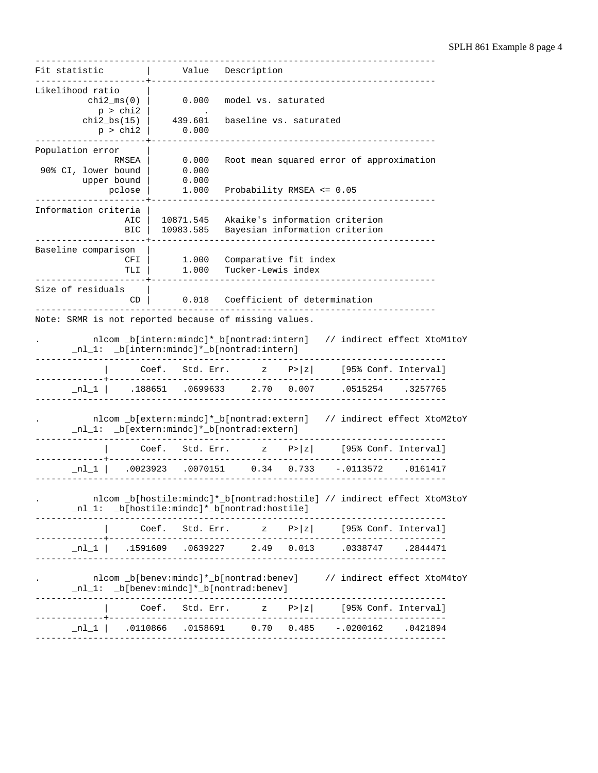---------------------------------------------------------------------------- Fit statistic  $|$  Value Description ---------------------+------------------------------------------------------ Likelihood ratio  $\vert$  chi2 ms(0)  $\vert$ 0.000 model vs. saturated  $p > chi2$  chi2\_bs(15) | 439.601 baseline vs. saturated p > chi2 | 0.000 ---------------------+------------------------------------------------------ Population error |<br>| RMSEA RMSEA | 0.000 Root mean squared error of approximation<br>90% CI, lower bound | 0.000 90% CI, lower bound | 0.000 upper bound | 0.000 pclose | 1.000 Probability RMSEA <= 0.05 ---------------------+------------------------------------------------------ Information criteria | AIC | 10871.545 Akaike's information criterion BIC | 10983.585 Bayesian information criterion ---------------------+------------------------------------------------------ Baseline comparison | CFI | 1.000 Comparative fit index TLI | 1.000 Tucker-Lewis index ---------------------+------------------------------------------------------ Size of residuals |<br>CD | 0.018 Coefficient of determination ---------------------------------------------------------------------------- Note: SRMR is not reported because of missing values. . nlcom \_b[intern:mindc]\*\_b[nontrad:intern] // indirect effect XtoM1toY \_nl\_1: \_b[intern:mindc]\*\_b[nontrad:intern] ------------------------------------------------------------------------------ Coef. Std. Err. z P>|z| [95% Conf. Interval] -------------+---------------------------------------------------------------  $n1_1$  .188651 .0699633 2.70 0.007 .0515254 .3257765 ------------------------------------------------------------------------------ . nlcom \_b[extern:mindc]\*\_b[nontrad:extern] // indirect effect XtoM2toY \_nl\_1: \_b[extern:mindc]\*\_b[nontrad:extern] ------------------------------------------------------------------------------ | Coef. Std. Err. z P>|z| [95% Conf. Interval] -------------+---------------------------------------------------------------- \_nl\_1 | .0023923 .0070151 0.34 0.733 -.0113572 .0161417 ------------------------------------------------------------------------------ . nlcom \_b[hostile:mindc]\*\_b[nontrad:hostile] // indirect effect XtoM3toY \_nl\_1: \_b[hostile:mindc]\*\_b[nontrad:hostile] ------------------------------------------------------------------------------ | Coef. Std. Err. z P>|z| [95% Conf. Interval] -------------+---------------------------------------------------------------- \_nl\_1 | .1591609 .0639227 2.49 0.013 .0338747 .2844471 ------------------------------------------------------------------------------ . nlcom \_b[benev:mindc]\*\_b[nontrad:benev] // indirect effect XtoM4toY \_nl\_1: \_b[benev:mindc]\*\_b[nontrad:benev] ------------------------------------------------------------------------------ | Coef. Std. Err. z P>|z| [95% Conf. Interval] -------------+---------------------------------------------------------------  $n_1$   $\lfloor 1 \rfloor$  .0110866 .0158691 0.70 0.485 -.0200162 .0421894 ------------------------------------------------------------------------------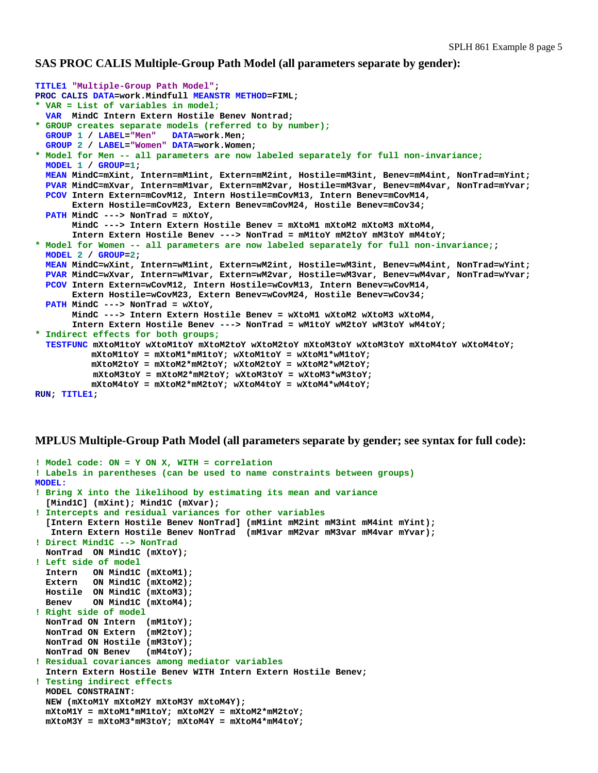#### **SAS PROC CALIS Multiple-Group Path Model (all parameters separate by gender):**

```
TITLE1 "Multiple-Group Path Model"; 
PROC CALIS DATA=work.Mindfull MEANSTR METHOD=FIML; 
* VAR = List of variables in model;
   VAR MindC Intern Extern Hostile Benev Nontrad; 
* GROUP creates separate models (referred to by number);
   GROUP 1 / LABEL="Men" DATA=work.Men; 
   GROUP 2 / LABEL="Women" DATA=work.Women; 
* Model for Men -- all parameters are now labeled separately for full non-invariance;
   MODEL 1 / GROUP=1; 
   MEAN MindC=mXint, Intern=mM1int, Extern=mM2int, Hostile=mM3int, Benev=mM4int, NonTrad=mYint; 
   PVAR MindC=mXvar, Intern=mM1var, Extern=mM2var, Hostile=mM3var, Benev=mM4var, NonTrad=mYvar; 
   PCOV Intern Extern=mCovM12, Intern Hostile=mCovM13, Intern Benev=mCovM14, 
        Extern Hostile=mCovM23, Extern Benev=mCovM24, Hostile Benev=mCov34; 
   PATH MindC ---> NonTrad = mXtoY, 
        MindC ---> Intern Extern Hostile Benev = mXtoM1 mXtoM2 mXtoM3 mXtoM4, 
        Intern Extern Hostile Benev ---> NonTrad = mM1toY mM2toY mM3toY mM4toY; 
* Model for Women -- all parameters are now labeled separately for full non-invariance;; 
   MODEL 2 / GROUP=2; 
   MEAN MindC=wXint, Intern=wM1int, Extern=wM2int, Hostile=wM3int, Benev=wM4int, NonTrad=wYint; 
   PVAR MindC=wXvar, Intern=wM1var, Extern=wM2var, Hostile=wM3var, Benev=wM4var, NonTrad=wYvar; 
   PCOV Intern Extern=wCovM12, Intern Hostile=wCovM13, Intern Benev=wCovM14, 
        Extern Hostile=wCovM23, Extern Benev=wCovM24, Hostile Benev=wCov34; 
   PATH MindC ---> NonTrad = wXtoY, 
        MindC ---> Intern Extern Hostile Benev = wXtoM1 wXtoM2 wXtoM3 wXtoM4, 
        Intern Extern Hostile Benev ---> NonTrad = wM1toY wM2toY wM3toY wM4toY; 
* Indirect effects for both groups;
   TESTFUNC mXtoM1toY wXtoM1toY mXtoM2toY wXtoM2toY mXtoM3toY wXtoM3toY mXtoM4toY wXtoM4toY; 
           mXtoM1toY = mXtoM1*mM1toY; wXtoM1toY = wXtoM1*wM1toY; 
           mXtoM2toY = mXtoM2*mM2toY; wXtoM2toY = wXtoM2*wM2toY; 
            mXtoM3toY = mXtoM2*mM2toY; wXtoM3toY = wXtoM3*wM3toY; 
           mXtoM4toY = mXtoM2*mM2toY; wXtoM4toY = wXtoM4*wM4toY; 
RUN; TITLE1;
```
#### **MPLUS Multiple-Group Path Model (all parameters separate by gender; see syntax for full code):**

```
! Model code: ON = Y ON X, WITH = correlation 
! Labels in parentheses (can be used to name constraints between groups) 
MODEL: 
! Bring X into the likelihood by estimating its mean and variance 
   [Mind1C] (mXint); Mind1C (mXvar); 
! Intercepts and residual variances for other variables
   [Intern Extern Hostile Benev NonTrad] (mM1int mM2int mM3int mM4int mYint); 
    Intern Extern Hostile Benev NonTrad (mM1var mM2var mM3var mM4var mYvar); 
! Direct Mind1C --> NonTrad 
   NonTrad ON Mind1C (mXtoY); 
! Left side of model 
   Intern ON Mind1C (mXtoM1); 
   Extern ON Mind1C (mXtoM2); 
   Hostile ON Mind1C (mXtoM3); 
   Benev ON Mind1C (mXtoM4); 
! Right side of model 
   NonTrad ON Intern (mM1toY); 
   NonTrad ON Extern (mM2toY); 
   NonTrad ON Hostile (mM3toY); 
   NonTrad ON Benev (mM4toY); 
! Residual covariances among mediator variables
   Intern Extern Hostile Benev WITH Intern Extern Hostile Benev; 
! Testing indirect effects 
   MODEL CONSTRAINT: 
   NEW (mXtoM1Y mXtoM2Y mXtoM3Y mXtoM4Y); 
   mXtoM1Y = mXtoM1*mM1toY; mXtoM2Y = mXtoM2*mM2toY; 
   mXtoM3Y = mXtoM3*mM3toY; mXtoM4Y = mXtoM4*mM4toY;
```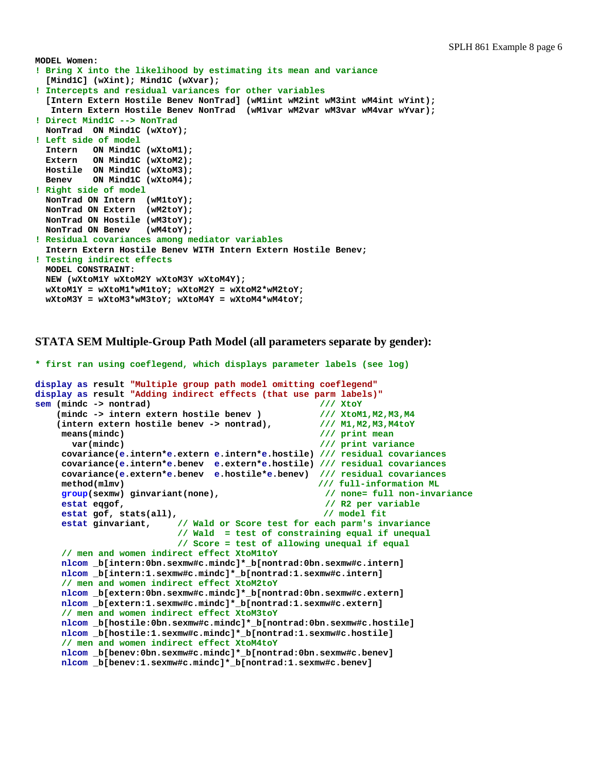```
MODEL Women: 
! Bring X into the likelihood by estimating its mean and variance 
   [Mind1C] (wXint); Mind1C (wXvar); 
! Intercepts and residual variances for other variables 
   [Intern Extern Hostile Benev NonTrad] (wM1int wM2int wM3int wM4int wYint); 
    Intern Extern Hostile Benev NonTrad (wM1var wM2var wM3var wM4var wYvar); 
! Direct Mind1C --> NonTrad 
   NonTrad ON Mind1C (wXtoY); 
! Left side of model 
   Intern ON Mind1C (wXtoM1); 
   Extern ON Mind1C (wXtoM2); 
   Hostile ON Mind1C (wXtoM3); 
   Benev ON Mind1C (wXtoM4); 
! Right side of model 
   NonTrad ON Intern (wM1toY); 
   NonTrad ON Extern (wM2toY); 
   NonTrad ON Hostile (wM3toY); 
   NonTrad ON Benev (wM4toY); 
! Residual covariances among mediator variables 
   Intern Extern Hostile Benev WITH Intern Extern Hostile Benev; 
! Testing indirect effects 
   MODEL CONSTRAINT: 
   NEW (wXtoM1Y wXtoM2Y wXtoM3Y wXtoM4Y); 
   wXtoM1Y = wXtoM1*wM1toY; wXtoM2Y = wXtoM2*wM2toY; 
   wXtoM3Y = wXtoM3*wM3toY; wXtoM4Y = wXtoM4*wM4toY;
```

```
STATA SEM Multiple-Group Path Model (all parameters separate by gender):
```

```
* first ran using coeflegend, which displays parameter labels (see log) 
display as result "Multiple group path model omitting coeflegend"
display as result "Adding indirect effects (that use parm labels)" 
sem (mindc -> nontrad) /// XtoY
     (mindc -> intern extern hostile benev ) /// XtoM1,M2,M3,M4
     (intern extern hostile benev -> nontrad), /// M1,M2,M3,M4toY 
     means (mindc) \frac{1}{\sqrt{2}} /// print mean<br>var(mindc) \frac{1}{\sqrt{2}} /// print varia
                                                         11/ print variance
      covariance(e.intern*e.extern e.intern*e.hostile) /// residual covariances
      covariance(e.intern*e.benev e.extern*e.hostile) /// residual covariances
      covariance(e.extern*e.benev e.hostile*e.benev) /// residual covariances
      method(mlmv) /// full-information ML 
      group(sexmw) ginvariant(none), // none= full non-invariance 
     estat eqgof, \frac{1}{2} // R2 per variable 
     estat gof, stats(all), the contract of the contract of the contract of the contract of the contract of the contract of the contract of the contract of the contract of the contract of the contract of the contract of the co
      estat ginvariant, // Wald or Score test for each parm's invariance 
                             // Wald = test of constraining equal if unequal
                            // Score = test of allowing unequal if equal
      // men and women indirect effect XtoM1toY
      nlcom _b[intern:0bn.sexmw#c.mindc]*_b[nontrad:0bn.sexmw#c.intern] 
      nlcom _b[intern:1.sexmw#c.mindc]*_b[nontrad:1.sexmw#c.intern] 
      // men and women indirect effect XtoM2toY
      nlcom _b[extern:0bn.sexmw#c.mindc]*_b[nontrad:0bn.sexmw#c.extern] 
      nlcom _b[extern:1.sexmw#c.mindc]*_b[nontrad:1.sexmw#c.extern] 
      // men and women indirect effect XtoM3toY 
      nlcom _b[hostile:0bn.sexmw#c.mindc]*_b[nontrad:0bn.sexmw#c.hostile] 
      nlcom _b[hostile:1.sexmw#c.mindc]*_b[nontrad:1.sexmw#c.hostile] 
      // men and women indirect effect XtoM4toY
      nlcom _b[benev:0bn.sexmw#c.mindc]*_b[nontrad:0bn.sexmw#c.benev] 
      nlcom _b[benev:1.sexmw#c.mindc]*_b[nontrad:1.sexmw#c.benev]
```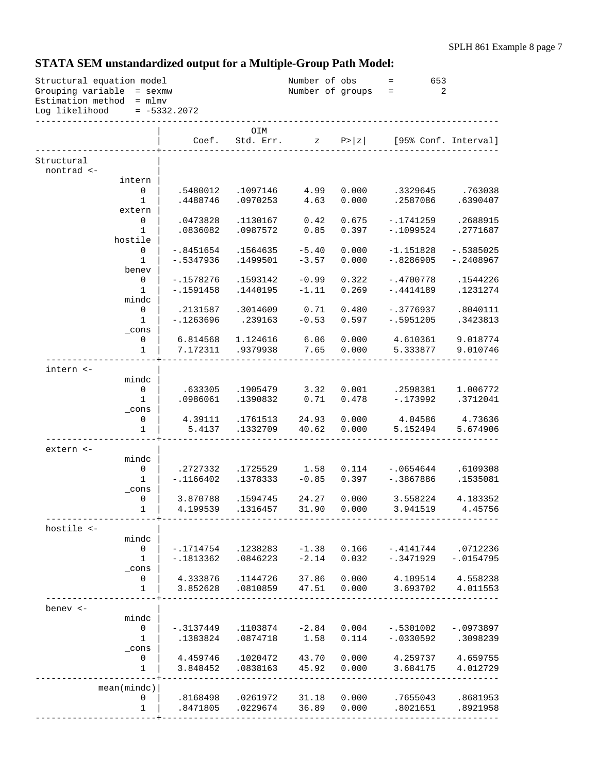# **STATA SEM unstandardized output for a Multiple-Group Path Model:**

| $= -5332.2072$<br>Log likelihood<br>OIM<br>Std. Err.<br>$\mathbb{Z}$ P> $\mathbb{Z}$<br>[95% Conf. Interval]<br>Coef.<br>Structural<br>nontrad <-<br>intern<br>0<br>0.000<br>.3329645<br>.763038<br>.5480012<br>.1097146<br>4.99<br>0.000<br>$\mathbf{1}$<br>.4488746<br>.0970253<br>4.63<br>.2587086<br>.6390407<br>extern<br>0<br>.0473828<br>.1130167<br>0.42<br>0.675<br>$-.1741259$<br>.2688915<br>0.397<br>1<br>.0836082<br>.0987572<br>0.85<br>$-.1099524$<br>.2771687<br>hostile<br>0.000<br>0<br>$-.8451654$<br>.1564635<br>$-5.40$<br>$-1.151828$<br>$-.5385025$<br>$\mathbf{1}$<br>$-.5347936$<br>.1499501<br>$-3.57$<br>0.000<br>$-.8286905$<br>$-.2408967$<br>benev<br>$\mathsf{O}$<br>$-0.99$<br>0.322<br>$-.4700778$<br>.1544226<br>$-.1578276$<br>.1593142<br>$\mathbf{1}$<br>0.269<br>$-.1591458$<br>.1440195<br>$-1.11$<br>$-.4414189$<br>.1231274<br>mindc<br>$\mathbf 0$<br>0.480<br>.2131587<br>.3014609<br>0.71<br>$-.3776937$<br>.8040111<br>$-0.53$<br>$\mathbf{1}$<br>$-.1263696$<br>.239163<br>0.597<br>$-.5951205$<br>.3423813<br>$\_cons$<br>0.000<br>0<br>6.814568<br>1.124616<br>6.06<br>4.610361<br>9.018774<br>.9379938<br>7.65<br>0.000<br>5.333877<br>1<br>7.172311<br>9.010746<br>intern <-<br>mindc<br>0<br>3.32<br>0.001<br>.2598381<br>.633305<br>.1905479<br>1.006772<br>$\mathbf{1}$<br>.0986061<br>.1390832<br>0.71<br>0.478<br>$-.173992$<br>.3712041<br>$\_cons$<br>0<br>.1761513<br>24.93<br>0.000<br>4.73636<br>4.39111<br>4.04586<br>$\mathbf{1}$<br>.1332709<br>40.62<br>0.000<br>5.152494<br>5.674906<br>5.4137<br>extern <-<br>mindc<br>$\mathsf{O}\xspace$<br>.2727332<br>.1725529<br>1.58<br>0.114<br>$-.0654644$<br>.6109308<br>$-0.85$<br>0.397<br>$-.1166402$<br>.1378333<br>$-.3867886$<br>.1535081<br>1<br>$_{\rm \_cons}$<br>0.000<br>0<br>3.870788<br>.1594745<br>24.27<br>3.558224<br>4.183352<br>31.90<br>0.000<br>$\mathbf 1$<br>4.199539<br>.1316457<br>3.941519<br>4.45756<br>hostile <-<br>mindc<br>0<br>$-.1714754$<br>.1238283<br>$-1.38$<br>0.166<br>$-.4141744$<br>.0712236<br>$-2.14$<br>1<br>$-.1813362$<br>.0846223<br>0.032<br>$-.3471929$<br>$-.0154795$<br>_cons<br>0<br>4.333876<br>.1144726<br>37.86<br>0.000<br>4.109514<br>4.558238<br>1<br>3.852628<br>.0810859<br>47.51<br>0.000<br>3.693702<br>4.011553<br>benev <-<br>mindc<br>$\mathsf{O}$<br>.1103874<br>$-2.84$<br>0.004<br>$-.0973897$<br>-.3137449<br>$-.5301002$<br>1.58<br>0.114<br>1<br>.1383824<br>.0874718<br>$-.0330592$<br>.3098239<br>$\_cons$<br>4.459746<br>.1020472<br>43.70<br>0.000<br>4.259737<br>4.659755<br>0<br>$\mathbf{1}$<br>.0838163<br>45.92<br>0.000<br>3.848452<br>3.684175<br>4.012729<br>mean(mindc)<br>.0261972<br>31.18<br>0.000<br>.7655043<br>.8681953<br>0<br>.8168498<br>36.89<br>.8471805<br>.0229674<br>0.000<br>.8021651<br>.8921958<br>1 | Structural equation model<br>Grouping variable = sexmw<br>Estimation method = mlmv |  |  | Number of obs<br>Number of groups | 653<br>$=$ .<br>2<br>$\alpha = \frac{1}{2}$ |  |
|---------------------------------------------------------------------------------------------------------------------------------------------------------------------------------------------------------------------------------------------------------------------------------------------------------------------------------------------------------------------------------------------------------------------------------------------------------------------------------------------------------------------------------------------------------------------------------------------------------------------------------------------------------------------------------------------------------------------------------------------------------------------------------------------------------------------------------------------------------------------------------------------------------------------------------------------------------------------------------------------------------------------------------------------------------------------------------------------------------------------------------------------------------------------------------------------------------------------------------------------------------------------------------------------------------------------------------------------------------------------------------------------------------------------------------------------------------------------------------------------------------------------------------------------------------------------------------------------------------------------------------------------------------------------------------------------------------------------------------------------------------------------------------------------------------------------------------------------------------------------------------------------------------------------------------------------------------------------------------------------------------------------------------------------------------------------------------------------------------------------------------------------------------------------------------------------------------------------------------------------------------------------------------------------------------------------------------------------------------------------------------------------------------------------------------------------------------------------------------------------------------------------------------------------------------------------------------------------------------------------------------------------------------------------------------------------------------------------------------------------------------------------------------------------------------------------|------------------------------------------------------------------------------------|--|--|-----------------------------------|---------------------------------------------|--|
|                                                                                                                                                                                                                                                                                                                                                                                                                                                                                                                                                                                                                                                                                                                                                                                                                                                                                                                                                                                                                                                                                                                                                                                                                                                                                                                                                                                                                                                                                                                                                                                                                                                                                                                                                                                                                                                                                                                                                                                                                                                                                                                                                                                                                                                                                                                                                                                                                                                                                                                                                                                                                                                                                                                                                                                                                     |                                                                                    |  |  |                                   |                                             |  |
|                                                                                                                                                                                                                                                                                                                                                                                                                                                                                                                                                                                                                                                                                                                                                                                                                                                                                                                                                                                                                                                                                                                                                                                                                                                                                                                                                                                                                                                                                                                                                                                                                                                                                                                                                                                                                                                                                                                                                                                                                                                                                                                                                                                                                                                                                                                                                                                                                                                                                                                                                                                                                                                                                                                                                                                                                     |                                                                                    |  |  |                                   |                                             |  |
|                                                                                                                                                                                                                                                                                                                                                                                                                                                                                                                                                                                                                                                                                                                                                                                                                                                                                                                                                                                                                                                                                                                                                                                                                                                                                                                                                                                                                                                                                                                                                                                                                                                                                                                                                                                                                                                                                                                                                                                                                                                                                                                                                                                                                                                                                                                                                                                                                                                                                                                                                                                                                                                                                                                                                                                                                     |                                                                                    |  |  |                                   |                                             |  |
|                                                                                                                                                                                                                                                                                                                                                                                                                                                                                                                                                                                                                                                                                                                                                                                                                                                                                                                                                                                                                                                                                                                                                                                                                                                                                                                                                                                                                                                                                                                                                                                                                                                                                                                                                                                                                                                                                                                                                                                                                                                                                                                                                                                                                                                                                                                                                                                                                                                                                                                                                                                                                                                                                                                                                                                                                     |                                                                                    |  |  |                                   |                                             |  |
|                                                                                                                                                                                                                                                                                                                                                                                                                                                                                                                                                                                                                                                                                                                                                                                                                                                                                                                                                                                                                                                                                                                                                                                                                                                                                                                                                                                                                                                                                                                                                                                                                                                                                                                                                                                                                                                                                                                                                                                                                                                                                                                                                                                                                                                                                                                                                                                                                                                                                                                                                                                                                                                                                                                                                                                                                     |                                                                                    |  |  |                                   |                                             |  |
|                                                                                                                                                                                                                                                                                                                                                                                                                                                                                                                                                                                                                                                                                                                                                                                                                                                                                                                                                                                                                                                                                                                                                                                                                                                                                                                                                                                                                                                                                                                                                                                                                                                                                                                                                                                                                                                                                                                                                                                                                                                                                                                                                                                                                                                                                                                                                                                                                                                                                                                                                                                                                                                                                                                                                                                                                     |                                                                                    |  |  |                                   |                                             |  |
|                                                                                                                                                                                                                                                                                                                                                                                                                                                                                                                                                                                                                                                                                                                                                                                                                                                                                                                                                                                                                                                                                                                                                                                                                                                                                                                                                                                                                                                                                                                                                                                                                                                                                                                                                                                                                                                                                                                                                                                                                                                                                                                                                                                                                                                                                                                                                                                                                                                                                                                                                                                                                                                                                                                                                                                                                     |                                                                                    |  |  |                                   |                                             |  |
|                                                                                                                                                                                                                                                                                                                                                                                                                                                                                                                                                                                                                                                                                                                                                                                                                                                                                                                                                                                                                                                                                                                                                                                                                                                                                                                                                                                                                                                                                                                                                                                                                                                                                                                                                                                                                                                                                                                                                                                                                                                                                                                                                                                                                                                                                                                                                                                                                                                                                                                                                                                                                                                                                                                                                                                                                     |                                                                                    |  |  |                                   |                                             |  |
|                                                                                                                                                                                                                                                                                                                                                                                                                                                                                                                                                                                                                                                                                                                                                                                                                                                                                                                                                                                                                                                                                                                                                                                                                                                                                                                                                                                                                                                                                                                                                                                                                                                                                                                                                                                                                                                                                                                                                                                                                                                                                                                                                                                                                                                                                                                                                                                                                                                                                                                                                                                                                                                                                                                                                                                                                     |                                                                                    |  |  |                                   |                                             |  |
|                                                                                                                                                                                                                                                                                                                                                                                                                                                                                                                                                                                                                                                                                                                                                                                                                                                                                                                                                                                                                                                                                                                                                                                                                                                                                                                                                                                                                                                                                                                                                                                                                                                                                                                                                                                                                                                                                                                                                                                                                                                                                                                                                                                                                                                                                                                                                                                                                                                                                                                                                                                                                                                                                                                                                                                                                     |                                                                                    |  |  |                                   |                                             |  |
|                                                                                                                                                                                                                                                                                                                                                                                                                                                                                                                                                                                                                                                                                                                                                                                                                                                                                                                                                                                                                                                                                                                                                                                                                                                                                                                                                                                                                                                                                                                                                                                                                                                                                                                                                                                                                                                                                                                                                                                                                                                                                                                                                                                                                                                                                                                                                                                                                                                                                                                                                                                                                                                                                                                                                                                                                     |                                                                                    |  |  |                                   |                                             |  |
|                                                                                                                                                                                                                                                                                                                                                                                                                                                                                                                                                                                                                                                                                                                                                                                                                                                                                                                                                                                                                                                                                                                                                                                                                                                                                                                                                                                                                                                                                                                                                                                                                                                                                                                                                                                                                                                                                                                                                                                                                                                                                                                                                                                                                                                                                                                                                                                                                                                                                                                                                                                                                                                                                                                                                                                                                     |                                                                                    |  |  |                                   |                                             |  |
|                                                                                                                                                                                                                                                                                                                                                                                                                                                                                                                                                                                                                                                                                                                                                                                                                                                                                                                                                                                                                                                                                                                                                                                                                                                                                                                                                                                                                                                                                                                                                                                                                                                                                                                                                                                                                                                                                                                                                                                                                                                                                                                                                                                                                                                                                                                                                                                                                                                                                                                                                                                                                                                                                                                                                                                                                     |                                                                                    |  |  |                                   |                                             |  |
|                                                                                                                                                                                                                                                                                                                                                                                                                                                                                                                                                                                                                                                                                                                                                                                                                                                                                                                                                                                                                                                                                                                                                                                                                                                                                                                                                                                                                                                                                                                                                                                                                                                                                                                                                                                                                                                                                                                                                                                                                                                                                                                                                                                                                                                                                                                                                                                                                                                                                                                                                                                                                                                                                                                                                                                                                     |                                                                                    |  |  |                                   |                                             |  |
|                                                                                                                                                                                                                                                                                                                                                                                                                                                                                                                                                                                                                                                                                                                                                                                                                                                                                                                                                                                                                                                                                                                                                                                                                                                                                                                                                                                                                                                                                                                                                                                                                                                                                                                                                                                                                                                                                                                                                                                                                                                                                                                                                                                                                                                                                                                                                                                                                                                                                                                                                                                                                                                                                                                                                                                                                     |                                                                                    |  |  |                                   |                                             |  |
|                                                                                                                                                                                                                                                                                                                                                                                                                                                                                                                                                                                                                                                                                                                                                                                                                                                                                                                                                                                                                                                                                                                                                                                                                                                                                                                                                                                                                                                                                                                                                                                                                                                                                                                                                                                                                                                                                                                                                                                                                                                                                                                                                                                                                                                                                                                                                                                                                                                                                                                                                                                                                                                                                                                                                                                                                     |                                                                                    |  |  |                                   |                                             |  |
|                                                                                                                                                                                                                                                                                                                                                                                                                                                                                                                                                                                                                                                                                                                                                                                                                                                                                                                                                                                                                                                                                                                                                                                                                                                                                                                                                                                                                                                                                                                                                                                                                                                                                                                                                                                                                                                                                                                                                                                                                                                                                                                                                                                                                                                                                                                                                                                                                                                                                                                                                                                                                                                                                                                                                                                                                     |                                                                                    |  |  |                                   |                                             |  |
|                                                                                                                                                                                                                                                                                                                                                                                                                                                                                                                                                                                                                                                                                                                                                                                                                                                                                                                                                                                                                                                                                                                                                                                                                                                                                                                                                                                                                                                                                                                                                                                                                                                                                                                                                                                                                                                                                                                                                                                                                                                                                                                                                                                                                                                                                                                                                                                                                                                                                                                                                                                                                                                                                                                                                                                                                     |                                                                                    |  |  |                                   |                                             |  |
|                                                                                                                                                                                                                                                                                                                                                                                                                                                                                                                                                                                                                                                                                                                                                                                                                                                                                                                                                                                                                                                                                                                                                                                                                                                                                                                                                                                                                                                                                                                                                                                                                                                                                                                                                                                                                                                                                                                                                                                                                                                                                                                                                                                                                                                                                                                                                                                                                                                                                                                                                                                                                                                                                                                                                                                                                     |                                                                                    |  |  |                                   |                                             |  |
|                                                                                                                                                                                                                                                                                                                                                                                                                                                                                                                                                                                                                                                                                                                                                                                                                                                                                                                                                                                                                                                                                                                                                                                                                                                                                                                                                                                                                                                                                                                                                                                                                                                                                                                                                                                                                                                                                                                                                                                                                                                                                                                                                                                                                                                                                                                                                                                                                                                                                                                                                                                                                                                                                                                                                                                                                     |                                                                                    |  |  |                                   |                                             |  |
|                                                                                                                                                                                                                                                                                                                                                                                                                                                                                                                                                                                                                                                                                                                                                                                                                                                                                                                                                                                                                                                                                                                                                                                                                                                                                                                                                                                                                                                                                                                                                                                                                                                                                                                                                                                                                                                                                                                                                                                                                                                                                                                                                                                                                                                                                                                                                                                                                                                                                                                                                                                                                                                                                                                                                                                                                     |                                                                                    |  |  |                                   |                                             |  |
|                                                                                                                                                                                                                                                                                                                                                                                                                                                                                                                                                                                                                                                                                                                                                                                                                                                                                                                                                                                                                                                                                                                                                                                                                                                                                                                                                                                                                                                                                                                                                                                                                                                                                                                                                                                                                                                                                                                                                                                                                                                                                                                                                                                                                                                                                                                                                                                                                                                                                                                                                                                                                                                                                                                                                                                                                     |                                                                                    |  |  |                                   |                                             |  |
|                                                                                                                                                                                                                                                                                                                                                                                                                                                                                                                                                                                                                                                                                                                                                                                                                                                                                                                                                                                                                                                                                                                                                                                                                                                                                                                                                                                                                                                                                                                                                                                                                                                                                                                                                                                                                                                                                                                                                                                                                                                                                                                                                                                                                                                                                                                                                                                                                                                                                                                                                                                                                                                                                                                                                                                                                     |                                                                                    |  |  |                                   |                                             |  |
|                                                                                                                                                                                                                                                                                                                                                                                                                                                                                                                                                                                                                                                                                                                                                                                                                                                                                                                                                                                                                                                                                                                                                                                                                                                                                                                                                                                                                                                                                                                                                                                                                                                                                                                                                                                                                                                                                                                                                                                                                                                                                                                                                                                                                                                                                                                                                                                                                                                                                                                                                                                                                                                                                                                                                                                                                     |                                                                                    |  |  |                                   |                                             |  |
|                                                                                                                                                                                                                                                                                                                                                                                                                                                                                                                                                                                                                                                                                                                                                                                                                                                                                                                                                                                                                                                                                                                                                                                                                                                                                                                                                                                                                                                                                                                                                                                                                                                                                                                                                                                                                                                                                                                                                                                                                                                                                                                                                                                                                                                                                                                                                                                                                                                                                                                                                                                                                                                                                                                                                                                                                     |                                                                                    |  |  |                                   |                                             |  |
|                                                                                                                                                                                                                                                                                                                                                                                                                                                                                                                                                                                                                                                                                                                                                                                                                                                                                                                                                                                                                                                                                                                                                                                                                                                                                                                                                                                                                                                                                                                                                                                                                                                                                                                                                                                                                                                                                                                                                                                                                                                                                                                                                                                                                                                                                                                                                                                                                                                                                                                                                                                                                                                                                                                                                                                                                     |                                                                                    |  |  |                                   |                                             |  |
|                                                                                                                                                                                                                                                                                                                                                                                                                                                                                                                                                                                                                                                                                                                                                                                                                                                                                                                                                                                                                                                                                                                                                                                                                                                                                                                                                                                                                                                                                                                                                                                                                                                                                                                                                                                                                                                                                                                                                                                                                                                                                                                                                                                                                                                                                                                                                                                                                                                                                                                                                                                                                                                                                                                                                                                                                     |                                                                                    |  |  |                                   |                                             |  |
|                                                                                                                                                                                                                                                                                                                                                                                                                                                                                                                                                                                                                                                                                                                                                                                                                                                                                                                                                                                                                                                                                                                                                                                                                                                                                                                                                                                                                                                                                                                                                                                                                                                                                                                                                                                                                                                                                                                                                                                                                                                                                                                                                                                                                                                                                                                                                                                                                                                                                                                                                                                                                                                                                                                                                                                                                     |                                                                                    |  |  |                                   |                                             |  |
|                                                                                                                                                                                                                                                                                                                                                                                                                                                                                                                                                                                                                                                                                                                                                                                                                                                                                                                                                                                                                                                                                                                                                                                                                                                                                                                                                                                                                                                                                                                                                                                                                                                                                                                                                                                                                                                                                                                                                                                                                                                                                                                                                                                                                                                                                                                                                                                                                                                                                                                                                                                                                                                                                                                                                                                                                     |                                                                                    |  |  |                                   |                                             |  |
|                                                                                                                                                                                                                                                                                                                                                                                                                                                                                                                                                                                                                                                                                                                                                                                                                                                                                                                                                                                                                                                                                                                                                                                                                                                                                                                                                                                                                                                                                                                                                                                                                                                                                                                                                                                                                                                                                                                                                                                                                                                                                                                                                                                                                                                                                                                                                                                                                                                                                                                                                                                                                                                                                                                                                                                                                     |                                                                                    |  |  |                                   |                                             |  |
|                                                                                                                                                                                                                                                                                                                                                                                                                                                                                                                                                                                                                                                                                                                                                                                                                                                                                                                                                                                                                                                                                                                                                                                                                                                                                                                                                                                                                                                                                                                                                                                                                                                                                                                                                                                                                                                                                                                                                                                                                                                                                                                                                                                                                                                                                                                                                                                                                                                                                                                                                                                                                                                                                                                                                                                                                     |                                                                                    |  |  |                                   |                                             |  |
|                                                                                                                                                                                                                                                                                                                                                                                                                                                                                                                                                                                                                                                                                                                                                                                                                                                                                                                                                                                                                                                                                                                                                                                                                                                                                                                                                                                                                                                                                                                                                                                                                                                                                                                                                                                                                                                                                                                                                                                                                                                                                                                                                                                                                                                                                                                                                                                                                                                                                                                                                                                                                                                                                                                                                                                                                     |                                                                                    |  |  |                                   |                                             |  |
|                                                                                                                                                                                                                                                                                                                                                                                                                                                                                                                                                                                                                                                                                                                                                                                                                                                                                                                                                                                                                                                                                                                                                                                                                                                                                                                                                                                                                                                                                                                                                                                                                                                                                                                                                                                                                                                                                                                                                                                                                                                                                                                                                                                                                                                                                                                                                                                                                                                                                                                                                                                                                                                                                                                                                                                                                     |                                                                                    |  |  |                                   |                                             |  |
|                                                                                                                                                                                                                                                                                                                                                                                                                                                                                                                                                                                                                                                                                                                                                                                                                                                                                                                                                                                                                                                                                                                                                                                                                                                                                                                                                                                                                                                                                                                                                                                                                                                                                                                                                                                                                                                                                                                                                                                                                                                                                                                                                                                                                                                                                                                                                                                                                                                                                                                                                                                                                                                                                                                                                                                                                     |                                                                                    |  |  |                                   |                                             |  |
|                                                                                                                                                                                                                                                                                                                                                                                                                                                                                                                                                                                                                                                                                                                                                                                                                                                                                                                                                                                                                                                                                                                                                                                                                                                                                                                                                                                                                                                                                                                                                                                                                                                                                                                                                                                                                                                                                                                                                                                                                                                                                                                                                                                                                                                                                                                                                                                                                                                                                                                                                                                                                                                                                                                                                                                                                     |                                                                                    |  |  |                                   |                                             |  |
|                                                                                                                                                                                                                                                                                                                                                                                                                                                                                                                                                                                                                                                                                                                                                                                                                                                                                                                                                                                                                                                                                                                                                                                                                                                                                                                                                                                                                                                                                                                                                                                                                                                                                                                                                                                                                                                                                                                                                                                                                                                                                                                                                                                                                                                                                                                                                                                                                                                                                                                                                                                                                                                                                                                                                                                                                     |                                                                                    |  |  |                                   |                                             |  |
|                                                                                                                                                                                                                                                                                                                                                                                                                                                                                                                                                                                                                                                                                                                                                                                                                                                                                                                                                                                                                                                                                                                                                                                                                                                                                                                                                                                                                                                                                                                                                                                                                                                                                                                                                                                                                                                                                                                                                                                                                                                                                                                                                                                                                                                                                                                                                                                                                                                                                                                                                                                                                                                                                                                                                                                                                     |                                                                                    |  |  |                                   |                                             |  |
|                                                                                                                                                                                                                                                                                                                                                                                                                                                                                                                                                                                                                                                                                                                                                                                                                                                                                                                                                                                                                                                                                                                                                                                                                                                                                                                                                                                                                                                                                                                                                                                                                                                                                                                                                                                                                                                                                                                                                                                                                                                                                                                                                                                                                                                                                                                                                                                                                                                                                                                                                                                                                                                                                                                                                                                                                     |                                                                                    |  |  |                                   |                                             |  |
|                                                                                                                                                                                                                                                                                                                                                                                                                                                                                                                                                                                                                                                                                                                                                                                                                                                                                                                                                                                                                                                                                                                                                                                                                                                                                                                                                                                                                                                                                                                                                                                                                                                                                                                                                                                                                                                                                                                                                                                                                                                                                                                                                                                                                                                                                                                                                                                                                                                                                                                                                                                                                                                                                                                                                                                                                     |                                                                                    |  |  |                                   |                                             |  |
|                                                                                                                                                                                                                                                                                                                                                                                                                                                                                                                                                                                                                                                                                                                                                                                                                                                                                                                                                                                                                                                                                                                                                                                                                                                                                                                                                                                                                                                                                                                                                                                                                                                                                                                                                                                                                                                                                                                                                                                                                                                                                                                                                                                                                                                                                                                                                                                                                                                                                                                                                                                                                                                                                                                                                                                                                     |                                                                                    |  |  |                                   |                                             |  |
|                                                                                                                                                                                                                                                                                                                                                                                                                                                                                                                                                                                                                                                                                                                                                                                                                                                                                                                                                                                                                                                                                                                                                                                                                                                                                                                                                                                                                                                                                                                                                                                                                                                                                                                                                                                                                                                                                                                                                                                                                                                                                                                                                                                                                                                                                                                                                                                                                                                                                                                                                                                                                                                                                                                                                                                                                     |                                                                                    |  |  |                                   |                                             |  |
|                                                                                                                                                                                                                                                                                                                                                                                                                                                                                                                                                                                                                                                                                                                                                                                                                                                                                                                                                                                                                                                                                                                                                                                                                                                                                                                                                                                                                                                                                                                                                                                                                                                                                                                                                                                                                                                                                                                                                                                                                                                                                                                                                                                                                                                                                                                                                                                                                                                                                                                                                                                                                                                                                                                                                                                                                     |                                                                                    |  |  |                                   |                                             |  |
|                                                                                                                                                                                                                                                                                                                                                                                                                                                                                                                                                                                                                                                                                                                                                                                                                                                                                                                                                                                                                                                                                                                                                                                                                                                                                                                                                                                                                                                                                                                                                                                                                                                                                                                                                                                                                                                                                                                                                                                                                                                                                                                                                                                                                                                                                                                                                                                                                                                                                                                                                                                                                                                                                                                                                                                                                     |                                                                                    |  |  |                                   |                                             |  |
|                                                                                                                                                                                                                                                                                                                                                                                                                                                                                                                                                                                                                                                                                                                                                                                                                                                                                                                                                                                                                                                                                                                                                                                                                                                                                                                                                                                                                                                                                                                                                                                                                                                                                                                                                                                                                                                                                                                                                                                                                                                                                                                                                                                                                                                                                                                                                                                                                                                                                                                                                                                                                                                                                                                                                                                                                     |                                                                                    |  |  |                                   |                                             |  |
|                                                                                                                                                                                                                                                                                                                                                                                                                                                                                                                                                                                                                                                                                                                                                                                                                                                                                                                                                                                                                                                                                                                                                                                                                                                                                                                                                                                                                                                                                                                                                                                                                                                                                                                                                                                                                                                                                                                                                                                                                                                                                                                                                                                                                                                                                                                                                                                                                                                                                                                                                                                                                                                                                                                                                                                                                     |                                                                                    |  |  |                                   |                                             |  |
|                                                                                                                                                                                                                                                                                                                                                                                                                                                                                                                                                                                                                                                                                                                                                                                                                                                                                                                                                                                                                                                                                                                                                                                                                                                                                                                                                                                                                                                                                                                                                                                                                                                                                                                                                                                                                                                                                                                                                                                                                                                                                                                                                                                                                                                                                                                                                                                                                                                                                                                                                                                                                                                                                                                                                                                                                     |                                                                                    |  |  |                                   |                                             |  |
|                                                                                                                                                                                                                                                                                                                                                                                                                                                                                                                                                                                                                                                                                                                                                                                                                                                                                                                                                                                                                                                                                                                                                                                                                                                                                                                                                                                                                                                                                                                                                                                                                                                                                                                                                                                                                                                                                                                                                                                                                                                                                                                                                                                                                                                                                                                                                                                                                                                                                                                                                                                                                                                                                                                                                                                                                     |                                                                                    |  |  |                                   |                                             |  |
|                                                                                                                                                                                                                                                                                                                                                                                                                                                                                                                                                                                                                                                                                                                                                                                                                                                                                                                                                                                                                                                                                                                                                                                                                                                                                                                                                                                                                                                                                                                                                                                                                                                                                                                                                                                                                                                                                                                                                                                                                                                                                                                                                                                                                                                                                                                                                                                                                                                                                                                                                                                                                                                                                                                                                                                                                     |                                                                                    |  |  |                                   |                                             |  |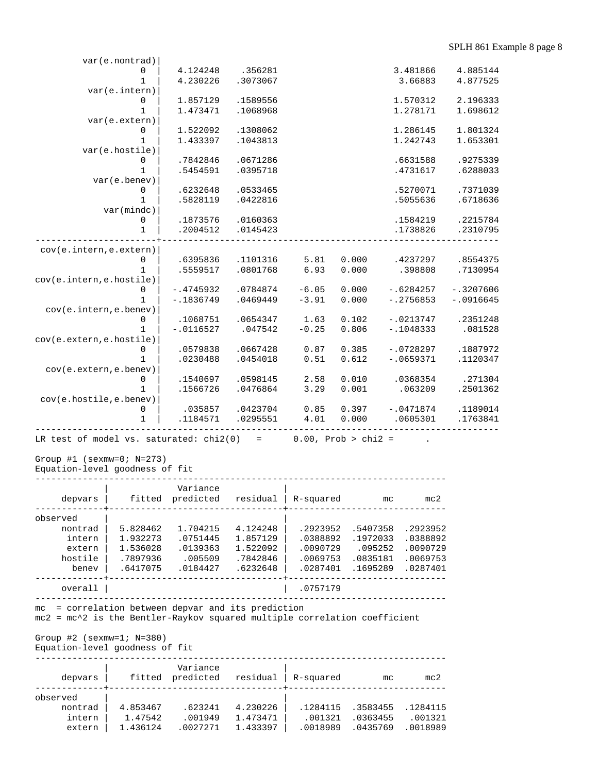| var(e.nontrad)           |                         |                     |                 |                |                            |             |
|--------------------------|-------------------------|---------------------|-----------------|----------------|----------------------------|-------------|
| 0                        | 4.124248                | .356281             |                 |                | 3.481866                   | 4.885144    |
| $\mathbf{1}$             | 4.230226                | .3073067            |                 |                | 3.66883                    | 4.877525    |
| var(e.intern)            |                         |                     |                 |                |                            |             |
| 0                        | 1.857129                | .1589556            |                 |                | 1.570312                   | 2.196333    |
| $\mathbf{1}$             | 1.473471                | .1068968            |                 |                | 1.278171                   | 1.698612    |
| var(e.extern)            |                         |                     |                 |                |                            |             |
| 0                        | 1.522092                | .1308062            |                 |                | 1.286145                   | 1.801324    |
| $\mathbf{1}$             | 1.433397                | .1043813            |                 |                | 1.242743                   | 1.653301    |
| var(e.hostile)           |                         |                     |                 |                |                            |             |
| 0                        | .7842846                | .0671286            |                 |                | .6631588                   | .9275339    |
| $\mathbf{1}$             | .5454591                | .0395718            |                 |                | .4731617                   | .6288033    |
| var(e.benev)             |                         |                     |                 |                |                            |             |
| 0                        | .6232648                | .0533465            |                 |                | .5270071                   | .7371039    |
| $\mathbf{1}$             | .5828119                | .0422816            |                 |                | .5055636                   | .6718636    |
| var(mindc)               |                         |                     |                 |                |                            |             |
| 0                        | .1873576                | .0160363            |                 |                | .1584219                   | .2215784    |
| $\mathbf{1}$             | .2004512                | .0145423            |                 |                | .1738826                   | .2310795    |
|                          |                         |                     |                 |                |                            |             |
| cov(e.intern, e. extern) |                         |                     |                 |                |                            |             |
| 0                        | .6395836                | .1101316            | 5.81            | 0.000          | .4237297                   | .8554375    |
| $\mathbf{1}$             | .5559517                | .0801768            | 6.93            | 0.000          | .398808                    | .7130954    |
| cov(e.intern,e.hostile)  |                         |                     |                 |                |                            |             |
| 0                        | $-.4745932$             | .0784874            | $-6.05$         | 0.000          | $-.6284257$                | $-.3207606$ |
| 1                        | $-.1836749$             | .0469449            | $-3.91$         | 0.000          | $-0.2756853$               | $-.0916645$ |
| cov(e.intern, e.benev)   |                         |                     |                 |                |                            |             |
| $\Omega$<br>$\mathbf{1}$ | .1068751<br>$-.0116527$ | .0654347<br>.047542 | 1.63<br>$-0.25$ | 0.102<br>0.806 | $-.0213747$<br>$-.1048333$ | .2351248    |
| cov(e.extern,e.hostile)  |                         |                     |                 |                |                            | .081528     |
| 0                        | .0579838                | .0667428            | 0.87            | 0.385          | $-.0728297$                | .1887972    |
| 1                        | .0230488                | .0454018            | 0.51            | 0.612          | $-10659371$                | .1120347    |
| cov(e.extern,e.benev)    |                         |                     |                 |                |                            |             |
| 0                        | .1540697                | .0598145            | 2.58            | 0.010          | .0368354                   | .271304     |
| 1                        | .1566726                | .0476864            | 3.29            | 0.001          | .063209                    | .2501362    |
| cov(e.hostile,e.benev)   |                         |                     |                 |                |                            |             |
| $\mathbf 0$              | .035857                 | .0423704            | 0.85            | 0.397          | $-.0471874$                | .1189014    |
| $\mathbf 1$              | .1184571                | .0295551            | 4.01            | 0.000          | .0605301                   | .1763841    |
|                          |                         |                     |                 |                |                            |             |
|                          |                         |                     |                 |                |                            |             |

LR test of model vs. saturated:  $chi(0)$  = 0.00, Prob >  $chi(2)$  = .

Group #1 (sexmw=0; N=273)

Equation-level goodness of fit

| Variance<br>predicted<br>fitted<br>residual<br>depvars<br>R-squared<br>mc2<br>mc<br>observed<br>4.124248<br>5.828462<br>1.704215<br>.2923952<br>.5407358<br>.2923952<br>nontrad<br>1.932273<br>.0751445<br>1.857129<br>.0388892<br>.1972033<br>.0388892<br>intern<br>1.522092<br>.0139363<br>.0090729<br>.095252<br>1.536028<br>.0090729<br>extern<br>hostile<br>.7842846<br>.0835181<br>.7897936<br>.005509<br>.0069753<br>.0069753<br>.1695289<br>.6417075<br>.6232648<br>.0287401<br>.0287401<br>.0184427<br>beney |         |  |          |  |
|-----------------------------------------------------------------------------------------------------------------------------------------------------------------------------------------------------------------------------------------------------------------------------------------------------------------------------------------------------------------------------------------------------------------------------------------------------------------------------------------------------------------------|---------|--|----------|--|
|                                                                                                                                                                                                                                                                                                                                                                                                                                                                                                                       |         |  |          |  |
|                                                                                                                                                                                                                                                                                                                                                                                                                                                                                                                       |         |  |          |  |
|                                                                                                                                                                                                                                                                                                                                                                                                                                                                                                                       |         |  |          |  |
|                                                                                                                                                                                                                                                                                                                                                                                                                                                                                                                       |         |  |          |  |
|                                                                                                                                                                                                                                                                                                                                                                                                                                                                                                                       |         |  |          |  |
|                                                                                                                                                                                                                                                                                                                                                                                                                                                                                                                       |         |  |          |  |
|                                                                                                                                                                                                                                                                                                                                                                                                                                                                                                                       |         |  |          |  |
|                                                                                                                                                                                                                                                                                                                                                                                                                                                                                                                       | overall |  | .0757179 |  |

mc = correlation between depvar and its prediction

mc2 = mc^2 is the Bentler-Raykov squared multiple correlation coefficient

Group #2 (sexmw=1; N=380)

Equation-level goodness of fit

| depvars  | fitted   | Variance<br>predicted | residual<br>. _ _ _ _ _ _ _ _ + _ _ _ _ _ | R-squared | mc       | mc2      |
|----------|----------|-----------------------|-------------------------------------------|-----------|----------|----------|
| observed |          |                       |                                           |           |          |          |
| nontrad  | 4.853467 | .623241               | 4.230226                                  | .1284115  | .3583455 | .1284115 |
| intern   | 1.47542  | .001949               | 1.473471                                  | .001321   | .0363455 | .001321  |
| extern   | 1.436124 | .0027271              | 1.433397                                  | .0018989  | 0435769  | .0018989 |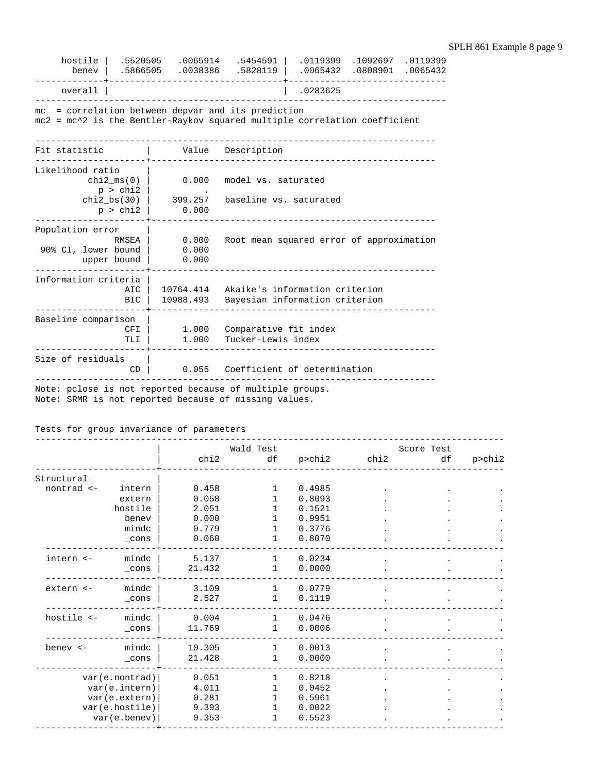| hostile<br>benev                                                                                                                | .5520505<br>.5866505        |                         | $.0065914$ .5454591  <br>.0038386 .5828119                       |  | .0119399 .1092697 .0119399<br>.0065432 .0808901 .0065432 |  |  |  |  |
|---------------------------------------------------------------------------------------------------------------------------------|-----------------------------|-------------------------|------------------------------------------------------------------|--|----------------------------------------------------------|--|--|--|--|
| ------<br>overall                                                                                                               |                             | .0283625                |                                                                  |  |                                                          |  |  |  |  |
| mc = correlation between depvar and its prediction<br>mc2 = mc^2 is the Bentler-Raykov squared multiple correlation coefficient |                             |                         |                                                                  |  |                                                          |  |  |  |  |
| Fit statistic                                                                                                                   |                             |                         | Value Description                                                |  |                                                          |  |  |  |  |
| Likelihood ratio                                                                                                                | p > chi2                    | $chi2_{ms}(0)$ 0.000    | model vs. saturated                                              |  |                                                          |  |  |  |  |
|                                                                                                                                 | $chi2$ bs(30)  <br>p > chi2 | 399.257<br>0.000        | baseline vs. saturated                                           |  |                                                          |  |  |  |  |
| Population error<br>90% CI, lower bound                                                                                         | RMSEA<br>upper bound        | 0.000<br>0.000<br>0.000 | Root mean squared error of approximation                         |  |                                                          |  |  |  |  |
| Information criteria                                                                                                            | AIC<br><b>BIC</b>           | 10764.414<br>10988.493  | Akaike's information criterion<br>Bayesian information criterion |  |                                                          |  |  |  |  |
| Baseline comparison<br>1.000<br>Comparative fit index<br><b>CFI</b><br>Tucker-Lewis index<br>1.000<br>TLI                       |                             |                         |                                                                  |  |                                                          |  |  |  |  |
| Size of residuals                                                                                                               | CD                          |                         | 0.055 Coefficient of determination                               |  |                                                          |  |  |  |  |

Note: pclose is not reported because of multiple groups.

Note: SRMR is not reported because of missing values.

Tests for group invariance of parameters

|            |                 |        | Wald Test    |        |      | Score Test |        |
|------------|-----------------|--------|--------------|--------|------|------------|--------|
|            |                 | chi2   | df           | p>chi2 | chi2 | df         | p>chi2 |
| Structural |                 |        |              |        |      |            |        |
| nontrad <- | intern          | 0.458  |              | 0.4985 |      |            |        |
|            | extern          | 0.058  |              | 0.8093 |      |            |        |
|            | hostile         | 2.051  |              | 0.1521 |      |            |        |
|            | benev           | 0.000  |              | 0.9951 |      |            |        |
|            | mindc           | 0.779  |              | 0.3776 |      |            |        |
|            | $_{\rm \_cons}$ | 0.060  |              | 0.8070 |      |            |        |
| intern <-  | mindc           | 5.137  | $\mathbf{1}$ | 0.0234 |      |            |        |
|            | _cons           | 21.432 | 1            | 0.0000 |      |            |        |
| extern <-  | mindc           | 3.109  | $\mathbf{1}$ | 0.0779 |      |            |        |
|            | _cons           | 2.527  | $\mathbf{1}$ | 0.1119 |      |            |        |
| hostile <- | mindc           | 0.004  | $\mathbf{1}$ | 0.9476 |      |            |        |
|            | _cons           | 11.769 | 1            | 0.0006 |      |            |        |
|            |                 |        |              |        |      |            |        |
| benev <-   | mindc           | 10.305 | $\mathbf{1}$ | 0.0013 |      |            |        |
|            | _cons           | 21.428 | $\mathbf{1}$ | 0.0000 |      |            |        |
|            | var(e.nontrad)  | 0.051  |              | 0.8218 |      |            |        |
|            | var(e.intern)   | 4.011  |              | 0.0452 |      |            |        |
|            | var(e.extern)   | 0.281  |              | 0.5961 |      |            |        |
|            | var(e.hostile)  | 9.393  |              | 0.0022 |      |            |        |
|            | var(e.benev)    | 0.353  | 1            | 0.5523 |      |            |        |
|            |                 |        |              |        |      |            |        |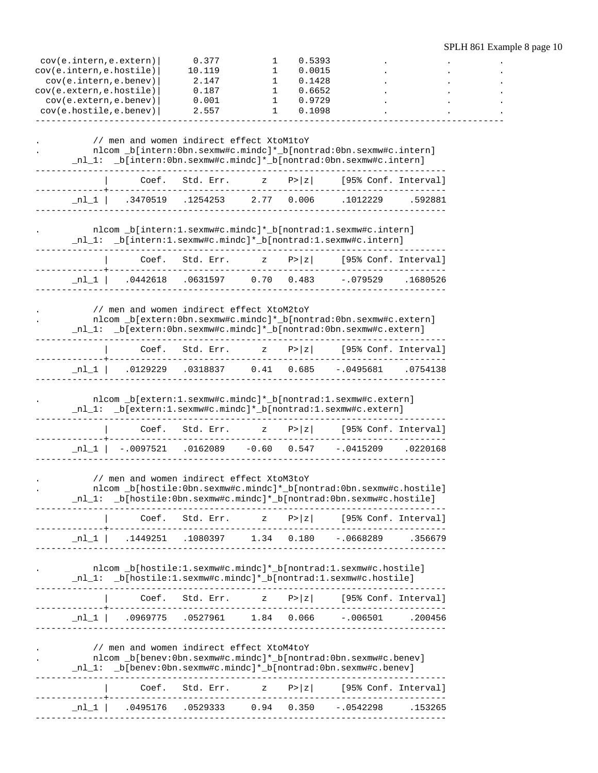| cov(e.intern,e.extern)   |                                                                                                                                                                                          | 0.377           | 1                             | 0.5393         |                      |          |  |
|--------------------------|------------------------------------------------------------------------------------------------------------------------------------------------------------------------------------------|-----------------|-------------------------------|----------------|----------------------|----------|--|
| cov(e.intern, e.hostile) |                                                                                                                                                                                          | 10.119          | 1                             | 0.0015         |                      |          |  |
| cov(e.intern, e.benev)   |                                                                                                                                                                                          | 2.147           | 1                             | 0.1428         |                      |          |  |
| cov(e.extern,e.hostile)  |                                                                                                                                                                                          | 0.187           | 1                             | 0.6652         |                      |          |  |
| cov(e.extern, e.benev)   |                                                                                                                                                                                          | 0.001           | 1                             | 0.9729         |                      |          |  |
| cov(e.hostile,e.benev)   |                                                                                                                                                                                          | 2.557           | 1                             | 0.1098         |                      |          |  |
|                          | // men and women indirect effect XtoM1toY<br>nlcom _b[intern:0bn.sexmw#c.mindc]*_b[nontrad:0bn.sexmw#c.intern]<br>_nl_1: _b[intern:0bn.sexmw#c.mindc]*_b[nontrad:0bn.sexmw#c.intern]     |                 |                               |                |                      |          |  |
|                          | Coef.                                                                                                                                                                                    | Std. Err.       | $\mathbf{z}$                  | P >  z         | [95% Conf. Interval] |          |  |
| _nl_1                    | .3470519                                                                                                                                                                                 | .1254253        | 2.77                          | 0.006          | .1012229             | .592881  |  |
|                          | nlcom _b[intern:1.sexmw#c.mindc]*_b[nontrad:1.sexmw#c.intern]<br>_nl_1: _b[intern:1.sexmw#c.mindc]*_b[nontrad:1.sexmw#c.intern]                                                          |                 |                               |                |                      |          |  |
|                          | Coef.                                                                                                                                                                                    | Std. Err.       | $\mathbf{z}$                  | P >  z         | [95% Conf. Interval] |          |  |
| _nl_l                    | .0442618                                                                                                                                                                                 | .0631597        | 0.70                          | 0.483          | $-.079529$           | .1680526 |  |
|                          | // men and women indirect effect XtoM2toY<br>nlcom _b[extern:0bn.sexmw#c.mindc]*_b[nontrad:0bn.sexmw#c.extern]<br>_nl_1: _b[extern:0bn.sexmw#c.mindc]*_b[nontrad:0bn.sexmw#c.extern]     |                 |                               |                |                      |          |  |
|                          | Coef.                                                                                                                                                                                    | Std. Err.       | $\mathbf{z}$                  | P >  z         | [95% Conf. Interval] |          |  |
| nl 1                     | .0129229                                                                                                                                                                                 | .0318837        |                               | $0.41$ $0.685$ | $-.0495681$          | .0754138 |  |
|                          | nlcom _b[extern:1.sexmw#c.mindc]*_b[nontrad:1.sexmw#c.extern]<br>_nl_1: _b[extern:1.sexmw#c.mindc]*_b[nontrad:1.sexmw#c.extern]                                                          |                 |                               |                |                      |          |  |
|                          |                                                                                                                                                                                          | Coef. Std. Err. | $\mathbf{z}$ and $\mathbf{z}$ | P >  z         | [95% Conf. Interval] |          |  |
| $\_$ nl $\_$ l           | $-.0097521$                                                                                                                                                                              |                 | .0162089 -0.60 0.547          |                | $-.0415209$          | .0220168 |  |
|                          | // men and women indirect effect XtoM3toY<br>nlcom _b[hostile:0bn.sexmw#c.mindc]*_b[nontrad:0bn.sexmw#c.hostile]<br>_nl_1: _b[hostile:0bn.sexmw#c.mindc]*_b[nontrad:0bn.sexmw#c.hostile] |                 |                               |                |                      |          |  |
|                          |                                                                                                                                                                                          |                 |                               |                |                      |          |  |
|                          | n1_1   .1449251 .1080397 1.34 0.180 -.0668289 .356679_                                                                                                                                   |                 |                               |                |                      |          |  |
|                          | nlcom _b[hostile:1.sexmw#c.mindc]*_b[nontrad:1.sexmw#c.hostile]<br>_nl_1: _b[hostile:1.sexmw#c.mindc]*_b[nontrad:1.sexmw#c.hostile]                                                      |                 |                               |                |                      |          |  |
|                          |                                                                                                                                                                                          |                 |                               |                |                      |          |  |
|                          | .cooperated at a construction of the construction of the construction of the construction of the construction o                                                                          |                 |                               |                |                      |          |  |
|                          | // men and women indirect effect XtoM4toY<br>nlcom _b[benev:0bn.sexmw#c.mindc]*_b[nontrad:0bn.sexmw#c.benev]<br>_nl_1: _b[benev:0bn.sexmw#c.mindc]*_b[nontrad:0bn.sexmw#c.benev]         |                 |                               |                |                      |          |  |
|                          |                                                                                                                                                                                          |                 |                               |                |                      |          |  |
|                          | $\lfloor n \rfloor \lfloor$ .0495176 .0529333 0.94 0.350 -.0542298 .153265                                                                                                               |                 |                               |                |                      |          |  |
|                          |                                                                                                                                                                                          |                 |                               |                |                      |          |  |